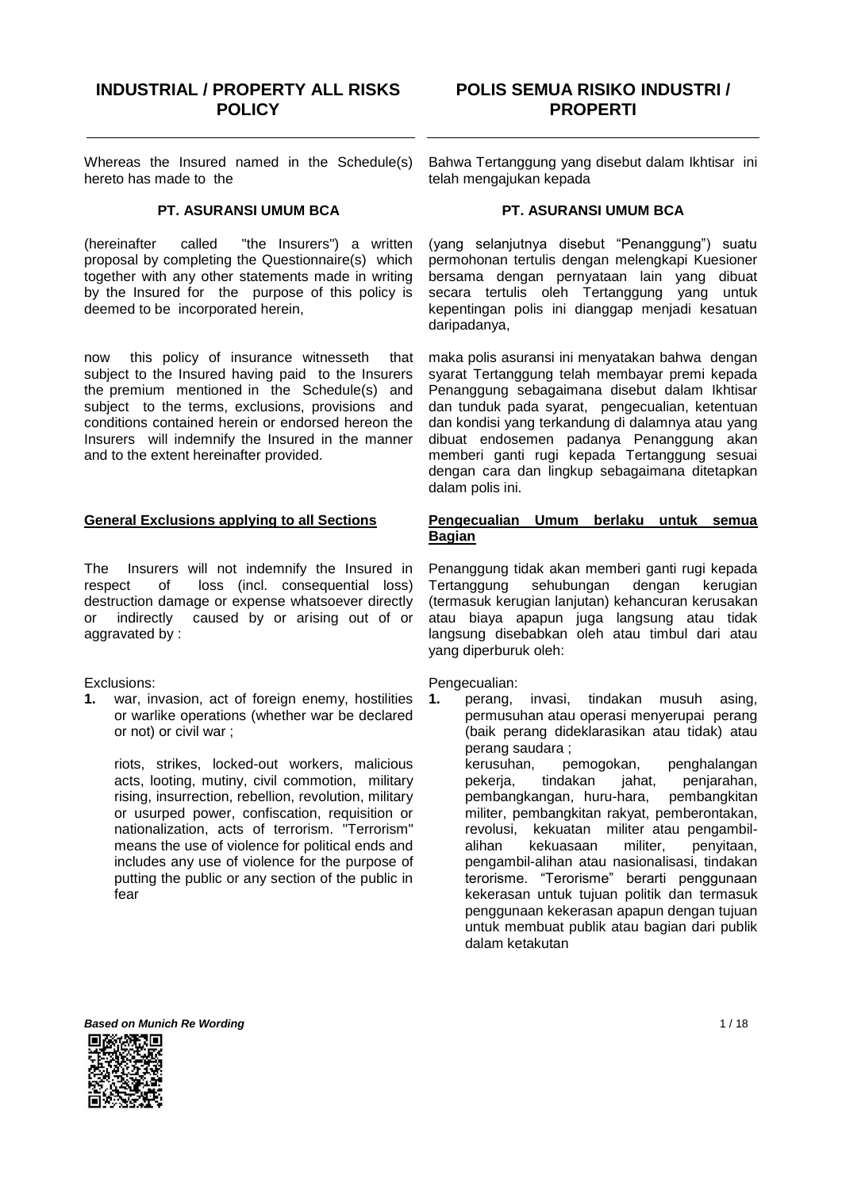# **INDUSTRIAL / PROPERTY ALL RISKS POLICY**

# **POLIS SEMUA RISIKO INDUSTRI / PROPERTI**

Whereas the Insured named in the Schedule(s) hereto has made to the

## **PT. ASURANSI UMUM BCA**

(hereinafter called "the Insurers") a written proposal by completing the Questionnaire(s) which together with any other statements made in writing by the Insured for the purpose of this policy is deemed to be incorporated herein,

now this policy of insurance witnesseth that subject to the Insured having paid to the Insurers the premium mentioned in the Schedule(s) and subject to the terms, exclusions, provisions and conditions contained herein or endorsed hereon the Insurers will indemnify the Insured in the manner and to the extent hereinafter provided.

#### **General Exclusions applying to all Sections**

The Insurers will not indemnify the Insured in respect of loss (incl. consequential loss) destruction damage or expense whatsoever directly or indirectly caused by or arising out of or aggravated by :

Exclusions:

**1.** war, invasion, act of foreign enemy, hostilities or warlike operations (whether war be declared or not) or civil war ;

riots, strikes, locked-out workers, malicious acts, looting, mutiny, civil commotion, military rising, insurrection, rebellion, revolution, military or usurped power, confiscation, requisition or nationalization, acts of terrorism. "Terrorism" means the use of violence for political ends and includes any use of violence for the purpose of putting the public or any section of the public in fear

Bahwa Tertanggung yang disebut dalam Ikhtisar ini telah mengajukan kepada

#### **PT. ASURANSI UMUM BCA**

(yang selanjutnya disebut "Penanggung") suatu permohonan tertulis dengan melengkapi Kuesioner bersama dengan pernyataan lain yang dibuat secara tertulis oleh Tertanggung yang untuk kepentingan polis ini dianggap menjadi kesatuan daripadanya,

maka polis asuransi ini menyatakan bahwa dengan syarat Tertanggung telah membayar premi kepada Penanggung sebagaimana disebut dalam Ikhtisar dan tunduk pada syarat, pengecualian, ketentuan dan kondisi yang terkandung di dalamnya atau yang dibuat endosemen padanya Penanggung akan memberi ganti rugi kepada Tertanggung sesuai dengan cara dan lingkup sebagaimana ditetapkan dalam polis ini.

#### **Pengecualian Umum berlaku untuk semua Bagian**

Penanggung tidak akan memberi ganti rugi kepada Tertanggung sehubungan dengan kerugian (termasuk kerugian lanjutan) kehancuran kerusakan atau biaya apapun juga langsung atau tidak langsung disebabkan oleh atau timbul dari atau yang diperburuk oleh:

Pengecualian:

**1.** perang, invasi, tindakan musuh asing, permusuhan atau operasi menyerupai perang (baik perang dideklarasikan atau tidak) atau perang saudara ; kerusuhan, pemogokan, penghalangan<br>pekerja, tindakan jahat, penjarahan, pekerja, tindakan jahat, penjarahan, pembangkangan, huru-hara, pembangkitan militer, pembangkitan rakyat, pemberontakan, revolusi, kekuatan militer atau pengambilalihan kekuasaan militer, penyitaan, pengambil-alihan atau nasionalisasi, tindakan terorisme. "Terorisme" berarti penggunaan kekerasan untuk tujuan politik dan termasuk penggunaan kekerasan apapun dengan tujuan untuk membuat publik atau bagian dari publik dalam ketakutan



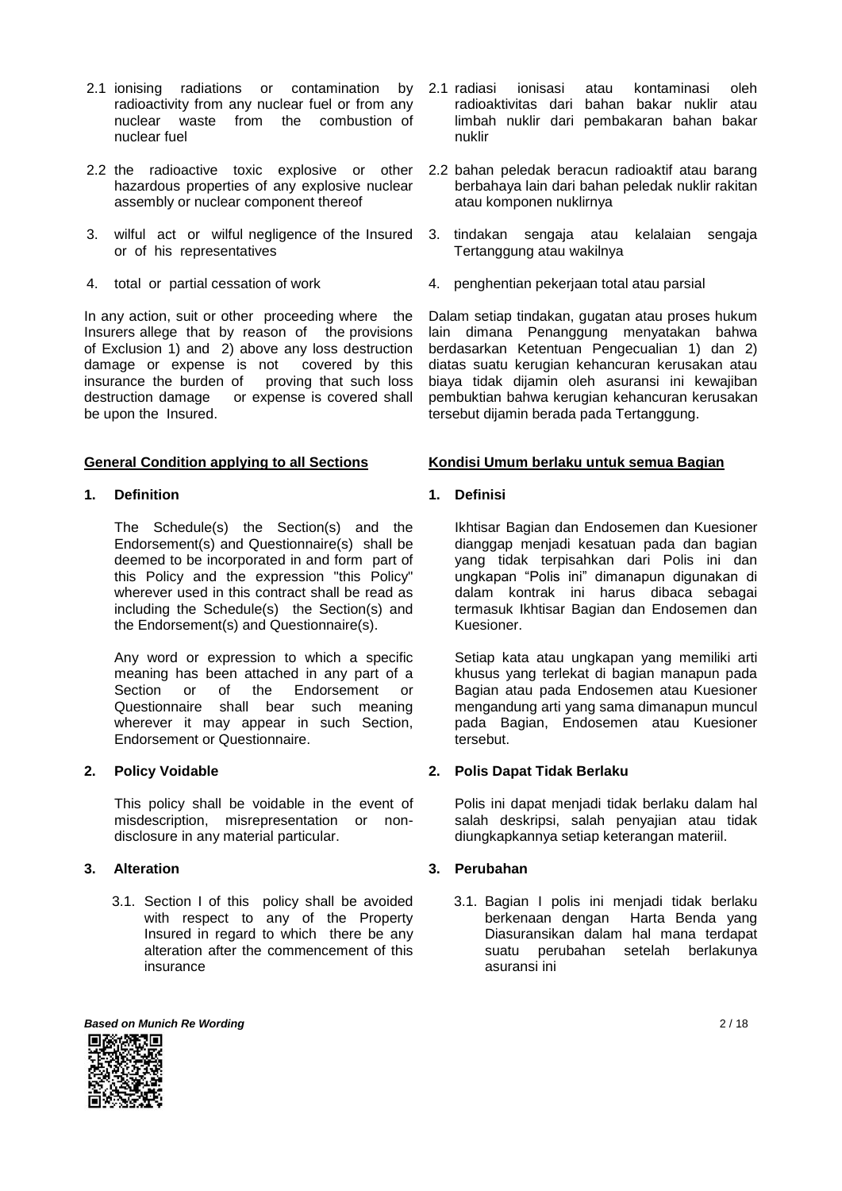- 2.1 ionising radiations or contamination by radioactivity from any nuclear fuel or from any nuclear waste from the combustion of nuclear fuel
- 2.2 the radioactive toxic explosive or other hazardous properties of any explosive nuclear assembly or nuclear component thereof
- 3. wilful act or wilful negligence of the Insured or of his representatives
- 4. total or partial cessation of work

In any action, suit or other proceeding where the Insurers allege that by reason of the provisions of Exclusion 1) and 2) above any loss destruction damage or expense is not covered by this insurance the burden of proving that such loss insurance the burden of destruction damage or expense is covered shall be upon the Insured.

## **General Condition applying to all Sections**

## **1. Definition**

The Schedule(s) the Section(s) and the Endorsement(s) and Questionnaire(s) shall be deemed to be incorporated in and form part of this Policy and the expression "this Policy" wherever used in this contract shall be read as including the Schedule(s) the Section(s) and the Endorsement(s) and Questionnaire(s).

Any word or expression to which a specific meaning has been attached in any part of a Section or of the Endorsement or Questionnaire shall bear such meaning wherever it may appear in such Section, Endorsement or Questionnaire.

# **2. Policy Voidable**

This policy shall be voidable in the event of misdescription, misrepresentation or nondisclosure in any material particular.

# **3. Alteration**

3.1. Section I of this policy shall be avoided with respect to any of the Property Insured in regard to which there be any alteration after the commencement of this insurance

- 2.1 radiasi ionisasi atau kontaminasi oleh radioaktivitas dari bahan bakar nuklir atau limbah nuklir dari pembakaran bahan bakar nuklir
- 2.2 bahan peledak beracun radioaktif atau barang berbahaya lain dari bahan peledak nuklir rakitan atau komponen nuklirnya
- 3. tindakan sengaja atau kelalaian sengaja Tertanggung atau wakilnya
- 4. penghentian pekerjaan total atau parsial

Dalam setiap tindakan, gugatan atau proses hukum lain dimana Penanggung menyatakan bahwa berdasarkan Ketentuan Pengecualian 1) dan 2) diatas suatu kerugian kehancuran kerusakan atau biaya tidak dijamin oleh asuransi ini kewajiban pembuktian bahwa kerugian kehancuran kerusakan tersebut dijamin berada pada Tertanggung.

## **Kondisi Umum berlaku untuk semua Bagian**

**1. Definisi**

Ikhtisar Bagian dan Endosemen dan Kuesioner dianggap menjadi kesatuan pada dan bagian yang tidak terpisahkan dari Polis ini dan ungkapan "Polis ini" dimanapun digunakan di dalam kontrak ini harus dibaca sebagai termasuk Ikhtisar Bagian dan Endosemen dan Kuesioner.

Setiap kata atau ungkapan yang memiliki arti khusus yang terlekat di bagian manapun pada Bagian atau pada Endosemen atau Kuesioner mengandung arti yang sama dimanapun muncul pada Bagian, Endosemen atau Kuesioner tersebut.

# **2. Polis Dapat Tidak Berlaku**

Polis ini dapat menjadi tidak berlaku dalam hal salah deskripsi, salah penyajian atau tidak diungkapkannya setiap keterangan materiil.

## **3. Perubahan**

3.1. Bagian I polis ini menjadi tidak berlaku berkenaan dengan Harta Benda yang Diasuransikan dalam hal mana terdapat suatu perubahan setelah berlakunya asuransi ini

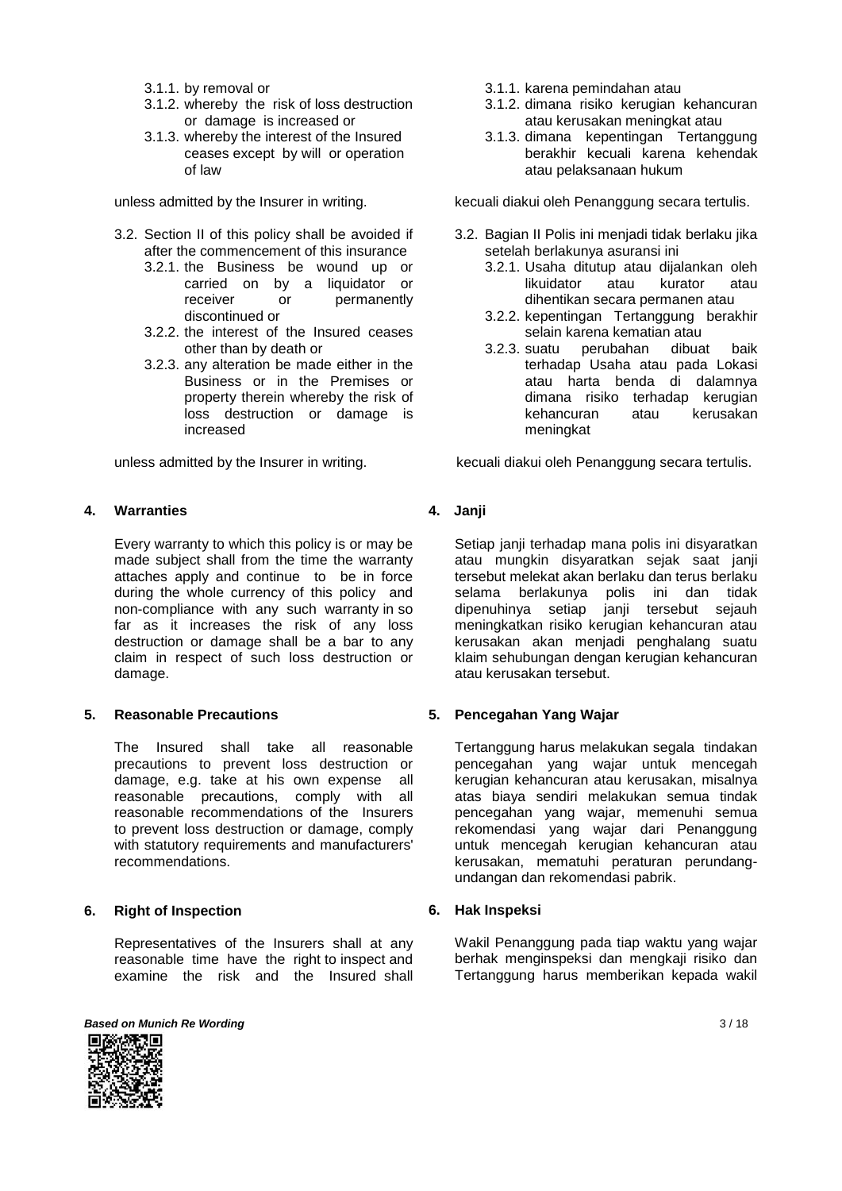- 3.1.1. by removal or
- 3.1.2. whereby the risk of loss destruction or damage is increased or
- 3.1.3. whereby the interest of the Insured ceases except by will or operation of law

unless admitted by the Insurer in writing.

- 3.2. Section II of this policy shall be avoided if after the commencement of this insurance
	- 3.2.1. the Business be wound up or carried on by a liquidator or receiver or permanently discontinued or
	- 3.2.2. the interest of the Insured ceases other than by death or
	- 3.2.3. any alteration be made either in the Business or in the Premises or property therein whereby the risk of loss destruction or damage is increased

unless admitted by the Insurer in writing.

## **4. Warranties**

Every warranty to which this policy is or may be made subject shall from the time the warranty attaches apply and continue to be in force during the whole currency of this policy and non-compliance with any such warranty in so far as it increases the risk of any loss destruction or damage shall be a bar to any claim in respect of such loss destruction or damage.

## **5. Reasonable Precautions**

The Insured shall take all reasonable precautions to prevent loss destruction or damage, e.g. take at his own expense all reasonable precautions, comply with all reasonable recommendations of the Insurers to prevent loss destruction or damage, comply with statutory requirements and manufacturers' recommendations.

## **6. Right of Inspection**

Representatives of the Insurers shall at any reasonable time have the right to inspect and examine the risk and the Insured shall



- 3.1.1. karena pemindahan atau
- 3.1.2. dimana risiko kerugian kehancuran atau kerusakan meningkat atau
- 3.1.3. dimana kepentingan Tertanggung berakhir kecuali karena kehendak atau pelaksanaan hukum

kecuali diakui oleh Penanggung secara tertulis.

- 3.2. Bagian II Polis ini menjadi tidak berlaku jika setelah berlakunya asuransi ini
	- 3.2.1. Usaha ditutup atau dijalankan oleh likuidator atau kurator atau dihentikan secara permanen atau
	- 3.2.2. kepentingan Tertanggung berakhir selain karena kematian atau
	- 3.2.3. suatu perubahan dibuat baik terhadap Usaha atau pada Lokasi atau harta benda di dalamnya dimana risiko terhadap kerugian kehancuran atau kerusakan meningkat

kecuali diakui oleh Penanggung secara tertulis.

## **4. Janji**

Setiap janji terhadap mana polis ini disyaratkan atau mungkin disyaratkan sejak saat janji tersebut melekat akan berlaku dan terus berlaku selama berlakunya polis ini dan tidak dipenuhinya setiap janji tersebut sejauh meningkatkan risiko kerugian kehancuran atau kerusakan akan menjadi penghalang suatu klaim sehubungan dengan kerugian kehancuran atau kerusakan tersebut.

## **5. Pencegahan Yang Wajar**

Tertanggung harus melakukan segala tindakan pencegahan yang wajar untuk mencegah kerugian kehancuran atau kerusakan, misalnya atas biaya sendiri melakukan semua tindak pencegahan yang wajar, memenuhi semua rekomendasi yang wajar dari Penanggung untuk mencegah kerugian kehancuran atau kerusakan, mematuhi peraturan perundangundangan dan rekomendasi pabrik.

## **6. Hak Inspeksi**

Wakil Penanggung pada tiap waktu yang wajar berhak menginspeksi dan mengkaji risiko dan Tertanggung harus memberikan kepada wakil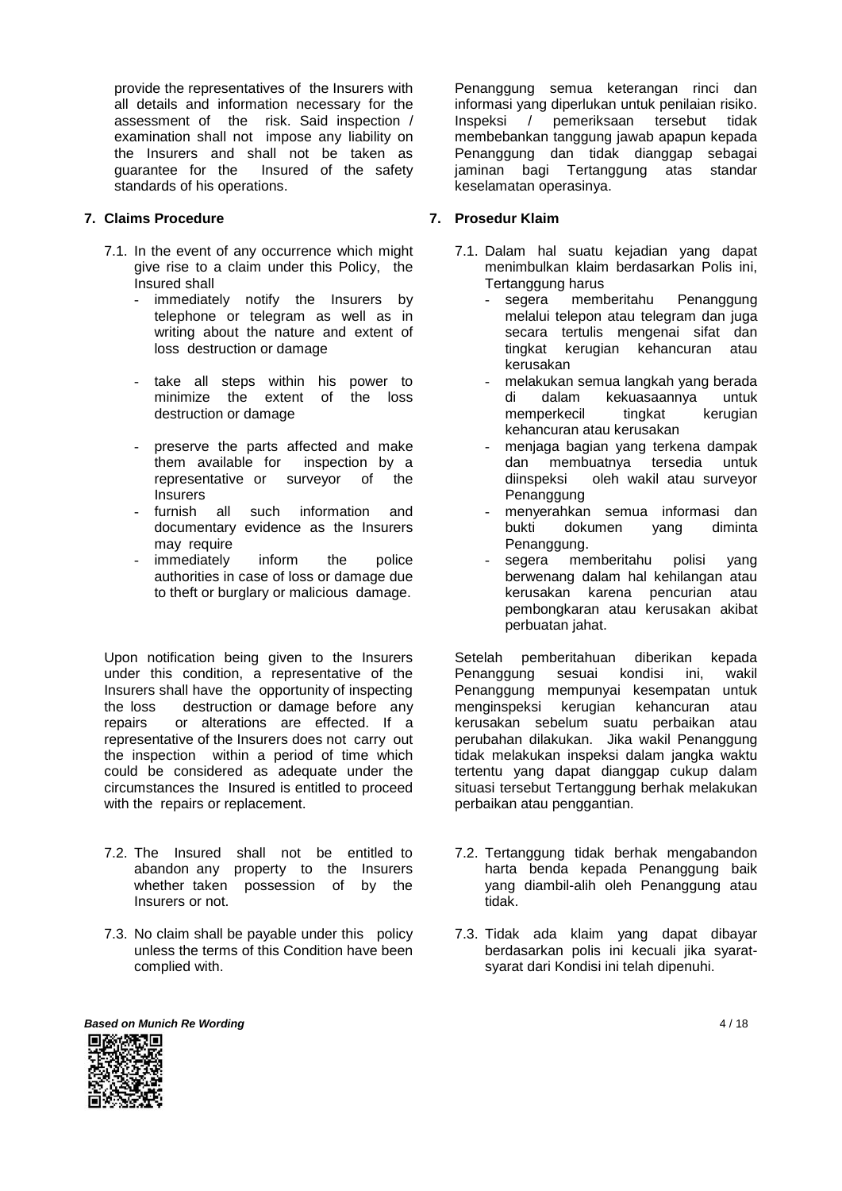provide the representatives of the Insurers with all details and information necessary for the assessment of the risk. Said inspection / examination shall not impose any liability on the Insurers and shall not be taken as guarantee for the Insured of the safety standards of his operations.

#### **7. Claims Procedure**

- 7.1. In the event of any occurrence which might give rise to a claim under this Policy, the Insured shall
	- immediately notify the Insurers by telephone or telegram as well as in writing about the nature and extent of loss destruction or damage
	- take all steps within his power to<br>minimize the extent of the loss minimize the extent of destruction or damage
	- preserve the parts affected and make them available for inspection by a representative or surveyor of the **Insurers**
	- furnish all such information and documentary evidence as the Insurers may require
	- immediately inform the police authorities in case of loss or damage due to theft or burglary or malicious damage.

Upon notification being given to the Insurers under this condition, a representative of the Insurers shall have the opportunity of inspecting the loss destruction or damage before any repairs or alterations are effected. If a representative of the Insurers does not carry out the inspection within a period of time which could be considered as adequate under the circumstances the Insured is entitled to proceed with the repairs or replacement.

- 7.2. The Insured shall not be entitled to abandon any property to the Insurers whether taken possession of by the Insurers or not.
- 7.3. No claim shall be payable under this policy unless the terms of this Condition have been complied with.

Penanggung semua keterangan rinci dan informasi yang diperlukan untuk penilaian risiko. Inspeksi / pemeriksaan tersebut tidak membebankan tanggung jawab apapun kepada Penanggung dan tidak dianggap sebagai jaminan bagi Tertanggung atas standar keselamatan operasinya.

## **7. Prosedur Klaim**

- 7.1. Dalam hal suatu kejadian yang dapat menimbulkan klaim berdasarkan Polis ini, Tertanggung harus
	- segera memberitahu Penanggung melalui telepon atau telegram dan juga secara tertulis mengenai sifat dan tingkat kerugian kehancuran atau kerusakan
	- melakukan semua langkah yang berada di dalam kekuasaannya untuk memperkecil tingkat kerugian kehancuran atau kerusakan
	- menjaga bagian yang terkena dampak dan membuatnya tersedia untuk diinspeksi oleh wakil atau surveyor Penanggung
	- menyerahkan semua informasi dan bukti dokumen yang diminta Penanggung.
	- segera memberitahu polisi yang berwenang dalam hal kehilangan atau kerusakan karena pencurian atau pembongkaran atau kerusakan akibat perbuatan jahat.

Setelah pemberitahuan diberikan kepada Penanggung sesuai kondisi ini, wakil Penanggung mempunyai kesempatan untuk menginspeksi kerugian kehancuran atau kerusakan sebelum suatu perbaikan atau perubahan dilakukan. Jika wakil Penanggung tidak melakukan inspeksi dalam jangka waktu tertentu yang dapat dianggap cukup dalam situasi tersebut Tertanggung berhak melakukan perbaikan atau penggantian.

- 7.2. Tertanggung tidak berhak mengabandon harta benda kepada Penanggung baik yang diambil-alih oleh Penanggung atau tidak.
- 7.3. Tidak ada klaim yang dapat dibayar berdasarkan polis ini kecuali jika syaratsyarat dari Kondisi ini telah dipenuhi.

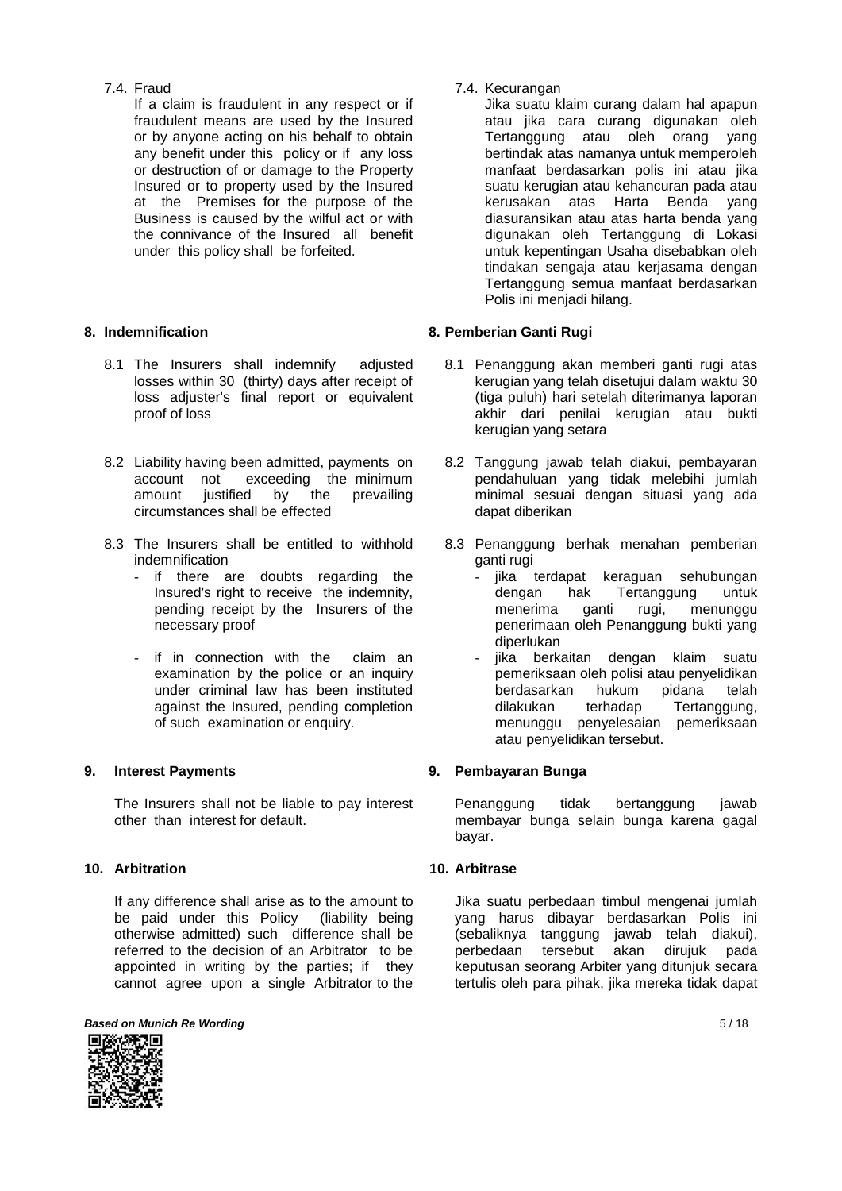## 7.4. Fraud

If a claim is fraudulent in any respect or if fraudulent means are used by the Insured or by anyone acting on his behalf to obtain any benefit under this policy or if any loss or destruction of or damage to the Property Insured or to property used by the Insured at the Premises for the purpose of the Business is caused by the wilful act or with the connivance of the Insured all benefit under this policy shall be forfeited.

# **8. Indemnification**

- 8.1 The Insurers shall indemnify adjusted losses within 30 (thirty) days after receipt of loss adjuster's final report or equivalent proof of loss
- 8.2 Liability having been admitted, payments on account not exceeding the minimum<br>amount justified by the prevailing amount justified by circumstances shall be effected
- 8.3 The Insurers shall be entitled to withhold indemnification
	- if there are doubts regarding the Insured's right to receive the indemnity, pending receipt by the Insurers of the necessary proof
	- if in connection with the claim an examination by the police or an inquiry under criminal law has been instituted against the Insured, pending completion of such examination or enquiry.

# **9. Interest Payments**

The Insurers shall not be liable to pay interest other than interest for default.

# **10. Arbitration**

If any difference shall arise as to the amount to be paid under this Policy (liability being otherwise admitted) such difference shall be referred to the decision of an Arbitrator to be appointed in writing by the parties; if they cannot agree upon a single Arbitrator to the

**Based on Munich Re Wording 5 / 18** 



7.4. Kecurangan

Jika suatu klaim curang dalam hal apapun atau jika cara curang digunakan oleh Tertanggung atau oleh orang yang bertindak atas namanya untuk memperoleh manfaat berdasarkan polis ini atau jika suatu kerugian atau kehancuran pada atau kerusakan atas Harta Benda yang diasuransikan atau atas harta benda yang digunakan oleh Tertanggung di Lokasi untuk kepentingan Usaha disebabkan oleh tindakan sengaja atau kerjasama dengan Tertanggung semua manfaat berdasarkan Polis ini menjadi hilang.

## **8. Pemberian Ganti Rugi**

- 8.1 Penanggung akan memberi ganti rugi atas kerugian yang telah disetujui dalam waktu 30 (tiga puluh) hari setelah diterimanya laporan akhir dari penilai kerugian atau bukti kerugian yang setara
- 8.2 Tanggung jawab telah diakui, pembayaran pendahuluan yang tidak melebihi jumlah minimal sesuai dengan situasi yang ada dapat diberikan
- 8.3 Penanggung berhak menahan pemberian ganti rugi
	- jika terdapat keraguan sehubungan dengan hak Tertanggung untuk menerima ganti rugi, menunggu penerimaan oleh Penanggung bukti yang diperlukan
	- jika berkaitan dengan klaim suatu pemeriksaan oleh polisi atau penyelidikan<br>berdasarkan hukum pidana telah pidana telah dilakukan terhadap Tertanggung, menunggu penyelesaian pemeriksaan atau penyelidikan tersebut.

## **9. Pembayaran Bunga**

Penanggung tidak bertanggung jawab membayar bunga selain bunga karena gagal bayar.

## **10. Arbitrase**

Jika suatu perbedaan timbul mengenai jumlah yang harus dibayar berdasarkan Polis ini (sebaliknya tanggung jawab telah diakui), perbedaan tersebut akan dirujuk pada keputusan seorang Arbiter yang ditunjuk secara tertulis oleh para pihak, jika mereka tidak dapat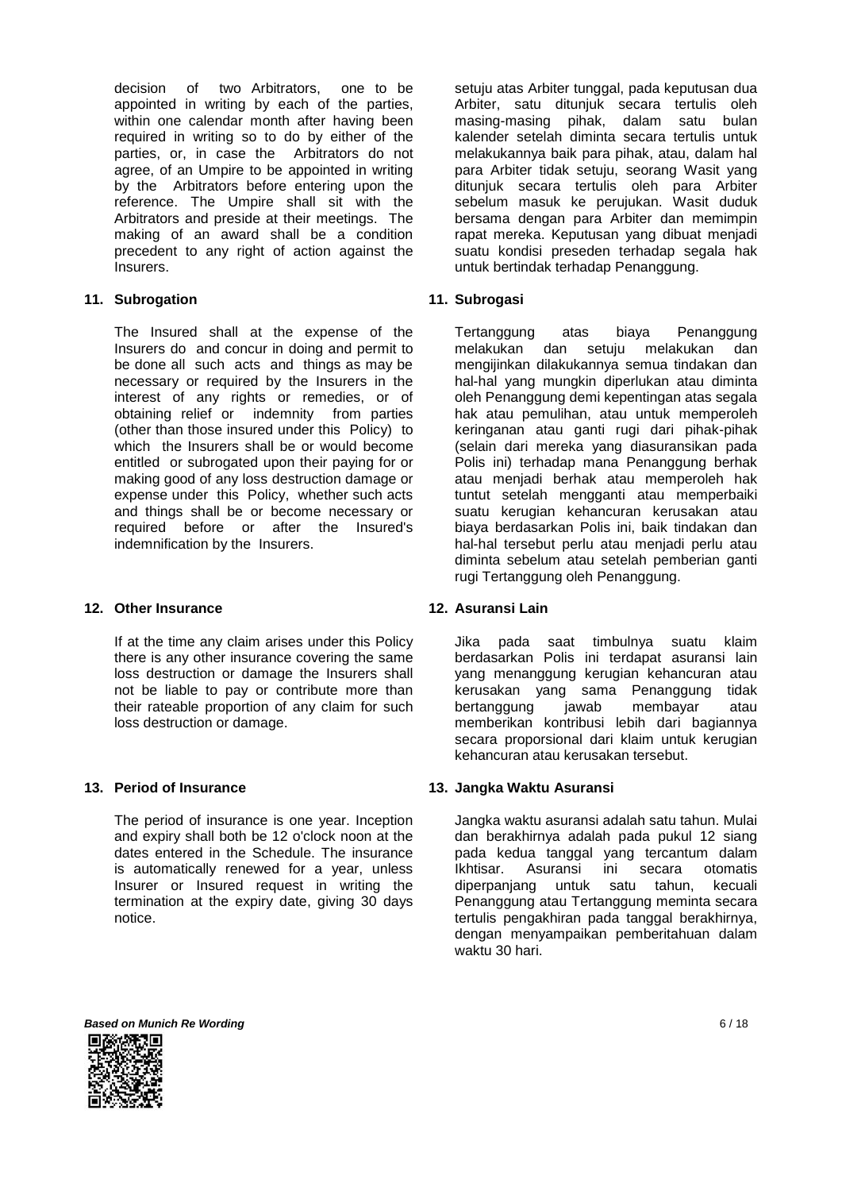decision of two Arbitrators, one to be appointed in writing by each of the parties, within one calendar month after having been required in writing so to do by either of the parties, or, in case the Arbitrators do not agree, of an Umpire to be appointed in writing by the Arbitrators before entering upon the reference. The Umpire shall sit with the Arbitrators and preside at their meetings. The making of an award shall be a condition precedent to any right of action against the Insurers.

## **11. Subrogation**

The Insured shall at the expense of the Insurers do and concur in doing and permit to be done all such acts and things as may be necessary or required by the Insurers in the interest of any rights or remedies, or of obtaining relief or indemnity from parties (other than those insured under this Policy) to which the Insurers shall be or would become entitled or subrogated upon their paying for or making good of any loss destruction damage or expense under this Policy, whether such acts and things shall be or become necessary or required before or after the Insured's indemnification by the Insurers.

## **12. Other Insurance**

If at the time any claim arises under this Policy there is any other insurance covering the same loss destruction or damage the Insurers shall not be liable to pay or contribute more than their rateable proportion of any claim for such loss destruction or damage.

#### **13. Period of Insurance**

The period of insurance is one year. Inception and expiry shall both be 12 o'clock noon at the dates entered in the Schedule. The insurance is automatically renewed for a year, unless Insurer or Insured request in writing the termination at the expiry date, giving 30 days notice.

setuju atas Arbiter tunggal, pada keputusan dua Arbiter, satu ditunjuk secara tertulis oleh masing-masing pihak, dalam satu bulan kalender setelah diminta secara tertulis untuk melakukannya baik para pihak, atau, dalam hal para Arbiter tidak setuju, seorang Wasit yang ditunjuk secara tertulis oleh para Arbiter sebelum masuk ke perujukan. Wasit duduk bersama dengan para Arbiter dan memimpin rapat mereka. Keputusan yang dibuat menjadi suatu kondisi preseden terhadap segala hak untuk bertindak terhadap Penanggung.

#### **11. Subrogasi**

Tertanggung atas biaya Penanggung melakukan dan setuju melakukan dan mengijinkan dilakukannya semua tindakan dan hal-hal yang mungkin diperlukan atau diminta oleh Penanggung demi kepentingan atas segala hak atau pemulihan, atau untuk memperoleh keringanan atau ganti rugi dari pihak-pihak (selain dari mereka yang diasuransikan pada Polis ini) terhadap mana Penanggung berhak atau menjadi berhak atau memperoleh hak tuntut setelah mengganti atau memperbaiki suatu kerugian kehancuran kerusakan atau biaya berdasarkan Polis ini, baik tindakan dan hal-hal tersebut perlu atau menjadi perlu atau diminta sebelum atau setelah pemberian ganti rugi Tertanggung oleh Penanggung.

## **12. Asuransi Lain**

Jika pada saat timbulnya suatu klaim berdasarkan Polis ini terdapat asuransi lain yang menanggung kerugian kehancuran atau kerusakan yang sama Penanggung tidak bertanggung jawab membayar atau memberikan kontribusi lebih dari bagiannya secara proporsional dari klaim untuk kerugian kehancuran atau kerusakan tersebut.

#### **13. Jangka Waktu Asuransi**

Jangka waktu asuransi adalah satu tahun. Mulai dan berakhirnya adalah pada pukul 12 siang pada kedua tanggal yang tercantum dalam Ikhtisar. Asuransi ini secara otomatis diperpanjang untuk satu tahun, kecuali Penanggung atau Tertanggung meminta secara tertulis pengakhiran pada tanggal berakhirnya, dengan menyampaikan pemberitahuan dalam waktu 30 hari.

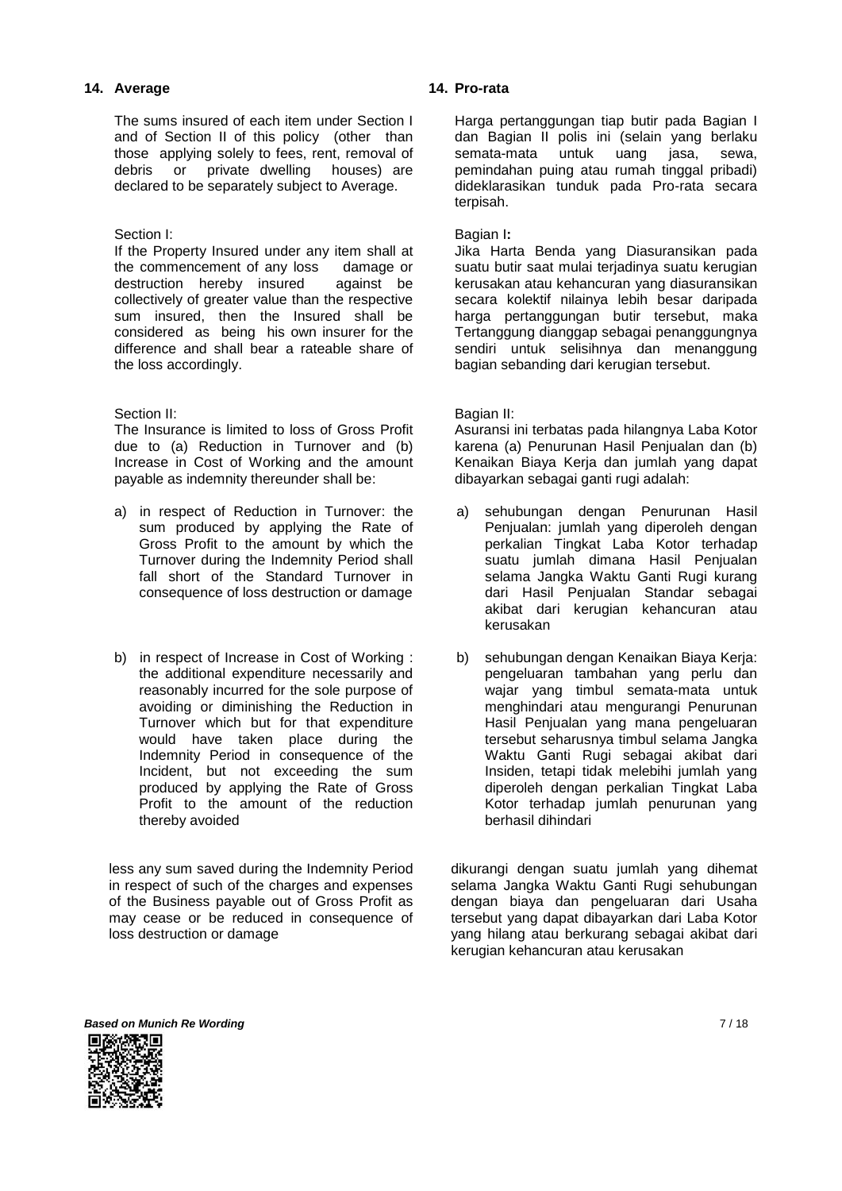#### **14. Average**

The sums insured of each item under Section I and of Section II of this policy (other than those applying solely to fees, rent, removal of debris or private dwelling houses) are declared to be separately subject to Average.

#### Section I:

If the Property Insured under any item shall at the commencement of any loss damage or<br>destruction hereby insured against be destruction hereby insured collectively of greater value than the respective sum insured, then the Insured shall be considered as being his own insurer for the difference and shall bear a rateable share of the loss accordingly.

#### Section II:

The Insurance is limited to loss of Gross Profit due to (a) Reduction in Turnover and (b) Increase in Cost of Working and the amount payable as indemnity thereunder shall be:

- a) in respect of Reduction in Turnover: the sum produced by applying the Rate of Gross Profit to the amount by which the Turnover during the Indemnity Period shall fall short of the Standard Turnover in consequence of loss destruction or damage
- b) in respect of Increase in Cost of Working : the additional expenditure necessarily and reasonably incurred for the sole purpose of avoiding or diminishing the Reduction in Turnover which but for that expenditure would have taken place during the Indemnity Period in consequence of the Incident, but not exceeding the sum produced by applying the Rate of Gross Profit to the amount of the reduction thereby avoided

less any sum saved during the Indemnity Period in respect of such of the charges and expenses of the Business payable out of Gross Profit as may cease or be reduced in consequence of loss destruction or damage

#### **14. Pro-rata**

Harga pertanggungan tiap butir pada Bagian I dan Bagian II polis ini (selain yang berlaku semata-mata untuk uang jasa, sewa, pemindahan puing atau rumah tinggal pribadi) dideklarasikan tunduk pada Pro-rata secara terpisah.

#### Bagian I**:**

Jika Harta Benda yang Diasuransikan pada suatu butir saat mulai terjadinya suatu kerugian kerusakan atau kehancuran yang diasuransikan secara kolektif nilainya lebih besar daripada harga pertanggungan butir tersebut, maka Tertanggung dianggap sebagai penanggungnya sendiri untuk selisihnya dan menanggung bagian sebanding dari kerugian tersebut.

#### Bagian II:

Asuransi ini terbatas pada hilangnya Laba Kotor karena (a) Penurunan Hasil Penjualan dan (b) Kenaikan Biaya Kerja dan jumlah yang dapat dibayarkan sebagai ganti rugi adalah:

- a) sehubungan dengan Penurunan Hasil Penjualan: jumlah yang diperoleh dengan perkalian Tingkat Laba Kotor terhadap suatu jumlah dimana Hasil Penjualan selama Jangka Waktu Ganti Rugi kurang dari Hasil Penjualan Standar sebagai akibat dari kerugian kehancuran atau kerusakan
- b) sehubungan dengan Kenaikan Biaya Kerja: pengeluaran tambahan yang perlu dan wajar yang timbul semata-mata untuk menghindari atau mengurangi Penurunan Hasil Penjualan yang mana pengeluaran tersebut seharusnya timbul selama Jangka Waktu Ganti Rugi sebagai akibat dari Insiden, tetapi tidak melebihi jumlah yang diperoleh dengan perkalian Tingkat Laba Kotor terhadap jumlah penurunan yang berhasil dihindari

dikurangi dengan suatu jumlah yang dihemat selama Jangka Waktu Ganti Rugi sehubungan dengan biaya dan pengeluaran dari Usaha tersebut yang dapat dibayarkan dari Laba Kotor yang hilang atau berkurang sebagai akibat dari kerugian kehancuran atau kerusakan

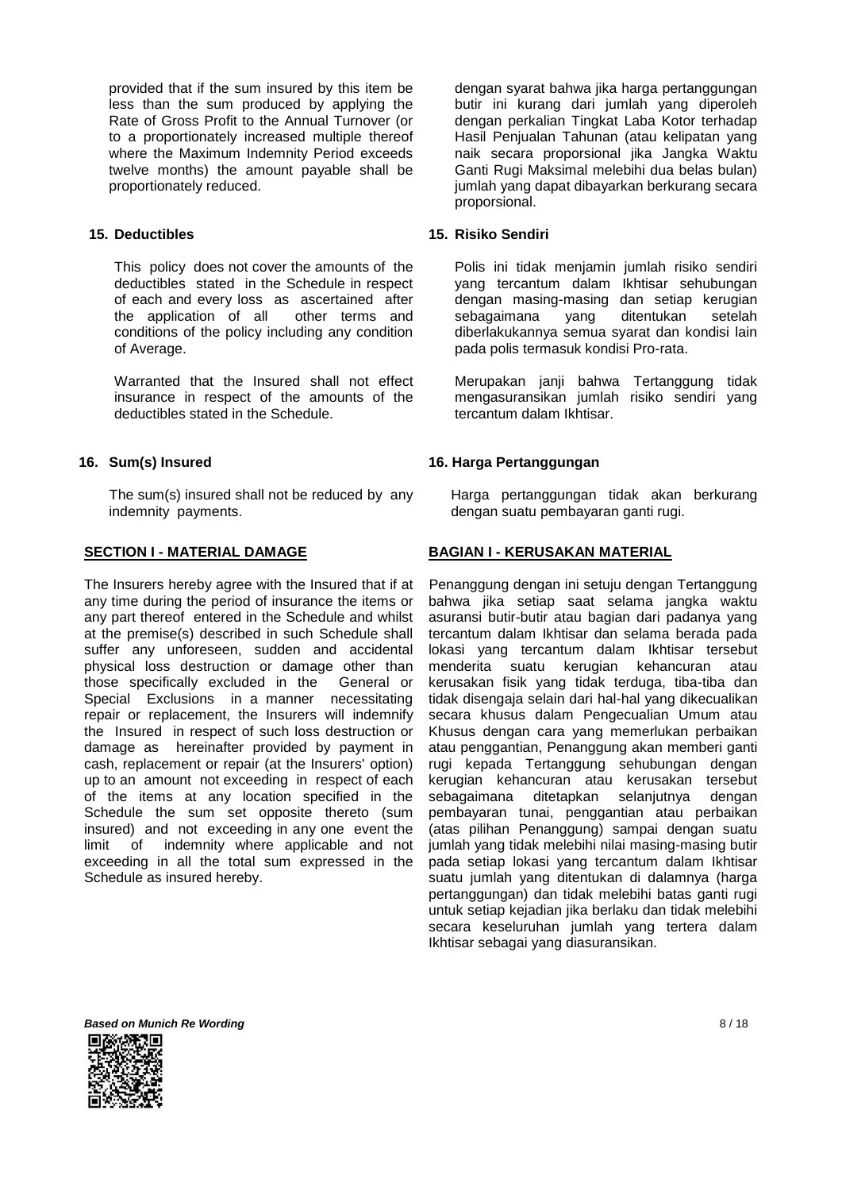provided that if the sum insured by this item be less than the sum produced by applying the Rate of Gross Profit to the Annual Turnover (or to a proportionately increased multiple thereof where the Maximum Indemnity Period exceeds twelve months) the amount payable shall be proportionately reduced.

## **15. Deductibles**

This policy does not cover the amounts of the deductibles stated in the Schedule in respect of each and every loss as ascertained after the application of all other terms and conditions of the policy including any condition of Average.

Warranted that the Insured shall not effect insurance in respect of the amounts of the deductibles stated in the Schedule.

#### **16. Sum(s) Insured**

The sum(s) insured shall not be reduced by any indemnity payments.

#### **SECTION I - MATERIAL DAMAGE**

The Insurers hereby agree with the Insured that if at any time during the period of insurance the items or any part thereof entered in the Schedule and whilst at the premise(s) described in such Schedule shall suffer any unforeseen, sudden and accidental physical loss destruction or damage other than those specifically excluded in the General or Special Exclusions in a manner necessitating repair or replacement, the Insurers will indemnify the Insured in respect of such loss destruction or damage as hereinafter provided by payment in cash, replacement or repair (at the Insurers' option) up to an amount not exceeding in respect of each of the items at any location specified in the Schedule the sum set opposite thereto (sum insured) and not exceeding in any one event the limit of indemnity where applicable and not exceeding in all the total sum expressed in the Schedule as insured hereby.

dengan syarat bahwa jika harga pertanggungan butir ini kurang dari jumlah yang diperoleh dengan perkalian Tingkat Laba Kotor terhadap Hasil Penjualan Tahunan (atau kelipatan yang naik secara proporsional jika Jangka Waktu Ganti Rugi Maksimal melebihi dua belas bulan) jumlah yang dapat dibayarkan berkurang secara proporsional.

#### **15. Risiko Sendiri**

Polis ini tidak menjamin jumlah risiko sendiri yang tercantum dalam Ikhtisar sehubungan dengan masing-masing dan setiap kerugian sebagaimana yang ditentukan setelah diberlakukannya semua syarat dan kondisi lain pada polis termasuk kondisi Pro-rata.

Merupakan janji bahwa Tertanggung tidak mengasuransikan jumlah risiko sendiri yang tercantum dalam Ikhtisar.

#### **16. Harga Pertanggungan**

Harga pertanggungan tidak akan berkurang dengan suatu pembayaran ganti rugi.

#### **BAGIAN I - KERUSAKAN MATERIAL**

Penanggung dengan ini setuju dengan Tertanggung bahwa jika setiap saat selama jangka waktu asuransi butir-butir atau bagian dari padanya yang tercantum dalam Ikhtisar dan selama berada pada lokasi yang tercantum dalam Ikhtisar tersebut menderita suatu kerugian kehancuran atau kerusakan fisik yang tidak terduga, tiba-tiba dan tidak disengaja selain dari hal-hal yang dikecualikan secara khusus dalam Pengecualian Umum atau Khusus dengan cara yang memerlukan perbaikan atau penggantian, Penanggung akan memberi ganti rugi kepada Tertanggung sehubungan dengan kerugian kehancuran atau kerusakan tersebut sebagaimana ditetapkan selanjutnya dengan pembayaran tunai, penggantian atau perbaikan (atas pilihan Penanggung) sampai dengan suatu jumlah yang tidak melebihi nilai masing-masing butir pada setiap lokasi yang tercantum dalam Ikhtisar suatu jumlah yang ditentukan di dalamnya (harga pertanggungan) dan tidak melebihi batas ganti rugi untuk setiap kejadian jika berlaku dan tidak melebihi secara keseluruhan jumlah yang tertera dalam Ikhtisar sebagai yang diasuransikan.



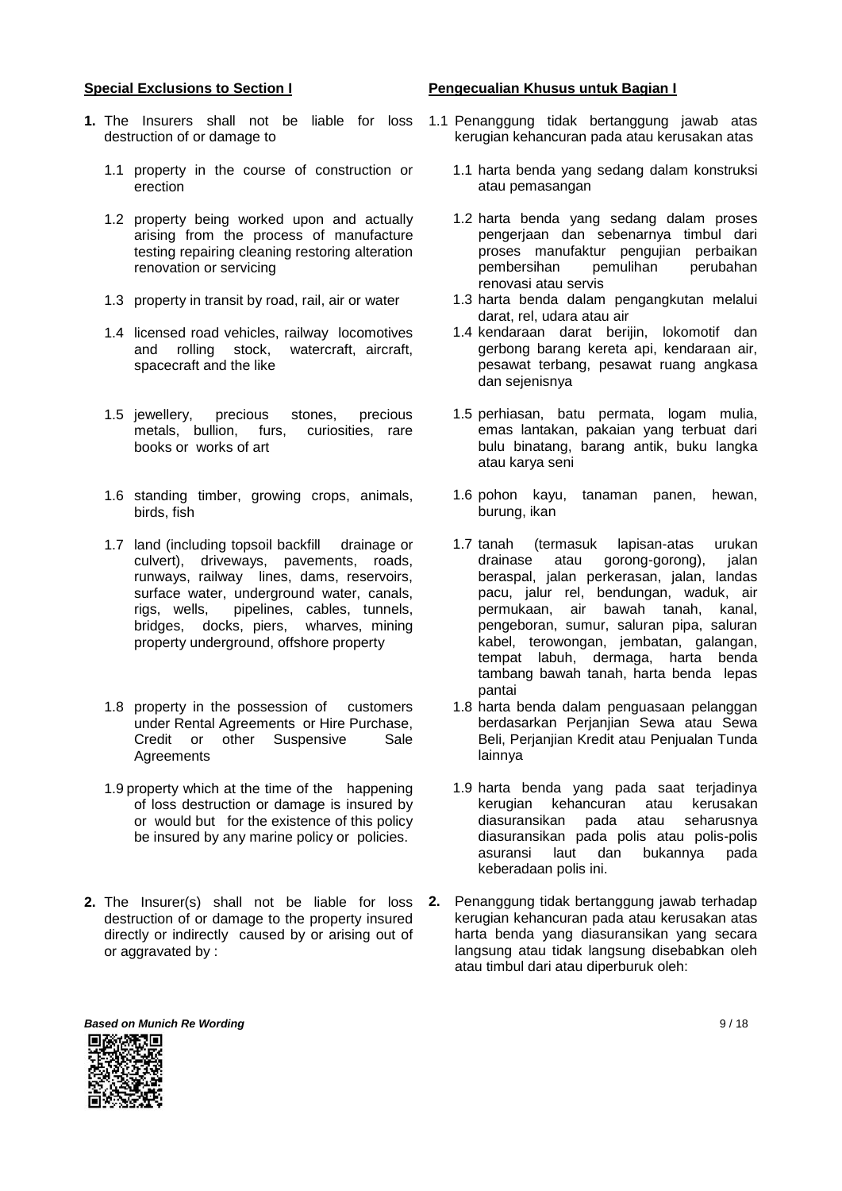#### **Special Exclusions to Section I**

- **1.** The Insurers shall not be liable for loss destruction of or damage to
	- 1.1 property in the course of construction or erection
	- 1.2 property being worked upon and actually arising from the process of manufacture testing repairing cleaning restoring alteration renovation or servicing
	- 1.3 property in transit by road, rail, air or water
	- 1.4 licensed road vehicles, railway locomotives<br>and rolling stock, watercraft, aircraft, watercraft, aircraft, spacecraft and the like
	- 1.5 jewellery, precious stones, precious metals, bullion, furs, curiosities, rare books or works of art
	- 1.6 standing timber, growing crops, animals, birds, fish
	- 1.7 land (including topsoil backfill drainage or culvert), driveways, pavements, roads, runways, railway lines, dams, reservoirs, surface water, underground water, canals, rigs, wells, pipelines, cables, tunnels, pipelines, cables, tunnels, bridges, docks, piers, wharves, mining property underground, offshore property
	- 1.8 property in the possession of customers under Rental Agreements or Hire Purchase, Credit or other Suspensive Sale Agreements
	- 1.9 property which at the time of the happening of loss destruction or damage is insured by or would but for the existence of this policy be insured by any marine policy or policies.
- **2.** The Insurer(s) shall not be liable for loss destruction of or damage to the property insured directly or indirectly caused by or arising out of or aggravated by :

#### **Pengecualian Khusus untuk Bagian I**

- 1.1 Penanggung tidak bertanggung jawab atas kerugian kehancuran pada atau kerusakan atas
	- 1.1 harta benda yang sedang dalam konstruksi atau pemasangan
	- 1.2 harta benda yang sedang dalam proses pengerjaan dan sebenarnya timbul dari proses manufaktur pengujian perbaikan pembersihan pemulihan perubahan renovasi atau servis
	- 1.3 harta benda dalam pengangkutan melalui darat, rel, udara atau air
	- 1.4 kendaraan darat berijin, lokomotif dan gerbong barang kereta api, kendaraan air, pesawat terbang, pesawat ruang angkasa dan sejenisnya
	- 1.5 perhiasan, batu permata, logam mulia, emas lantakan, pakaian yang terbuat dari bulu binatang, barang antik, buku langka atau karya seni
	- 1.6 pohon kayu, tanaman panen, hewan, burung, ikan
	- 1.7 tanah (termasuk lapisan-atas urukan drainase atau gorong-gorong), jalan beraspal, jalan perkerasan, jalan, landas pacu, jalur rel, bendungan, waduk, air permukaan, air bawah tanah, kanal, pengeboran, sumur, saluran pipa, saluran kabel, terowongan, jembatan, galangan, tempat labuh, dermaga, harta benda tambang bawah tanah, harta benda lepas pantai
	- 1.8 harta benda dalam penguasaan pelanggan berdasarkan Perjanjian Sewa atau Sewa Beli, Perjanjian Kredit atau Penjualan Tunda lainnya
	- 1.9 harta benda yang pada saat terjadinya kerugian kehancuran atau kerusakan diasuransikan pada atau seharusnya diasuransikan pada polis atau polis-polis asuransi laut dan bukannya pada keberadaan polis ini.
- **2.** Penanggung tidak bertanggung jawab terhadap kerugian kehancuran pada atau kerusakan atas harta benda yang diasuransikan yang secara langsung atau tidak langsung disebabkan oleh atau timbul dari atau diperburuk oleh:

**Based on Munich Re Wording 8 / 18 and 2008 19 and 2008 19 and 2008 19 and 2008 19 and 2008 19 and 2008 19 and 200**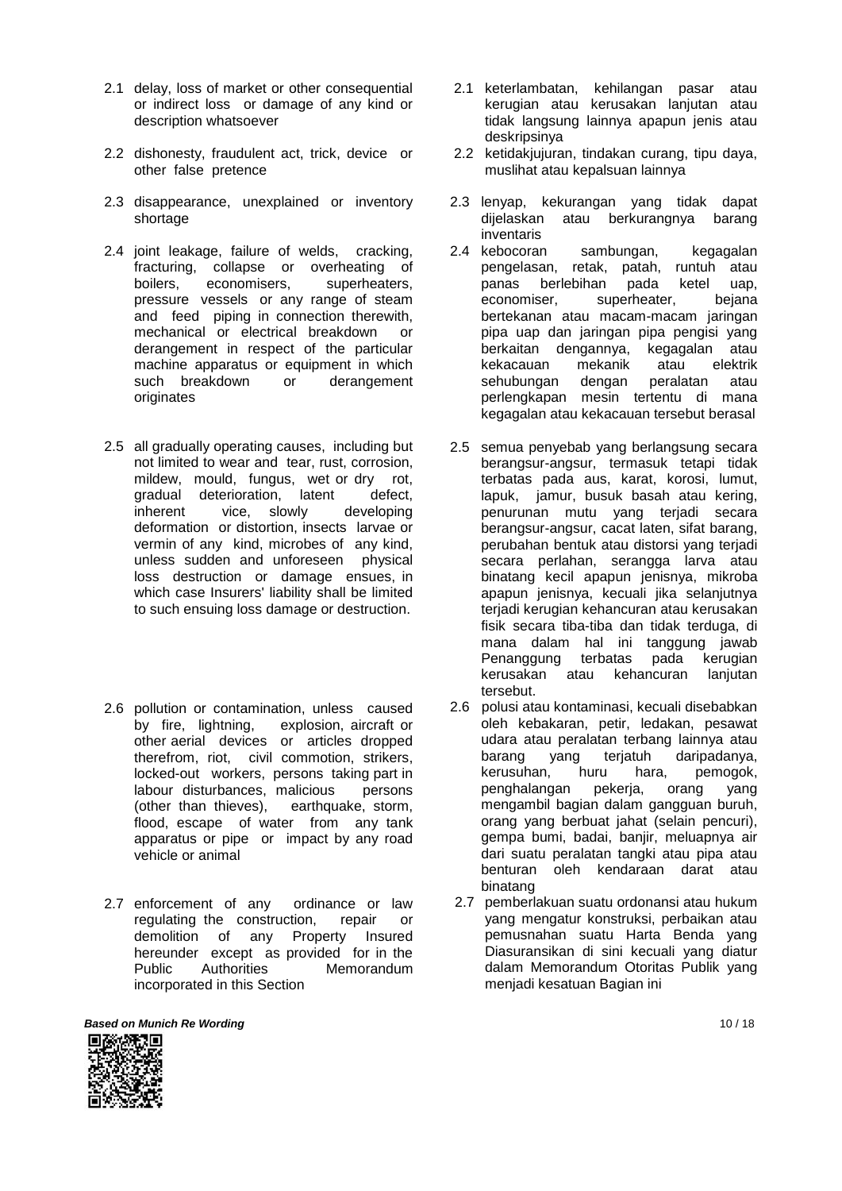- 2.1 delay, loss of market or other consequential or indirect loss or damage of any kind or description whatsoever
- 2.2 dishonesty, fraudulent act, trick, device or other false pretence
- 2.3 disappearance, unexplained or inventory shortage
- 2.4 joint leakage, failure of welds, cracking, fracturing, collapse or overheating of boilers, economisers, superheaters, pressure vessels or any range of steam and feed piping in connection therewith, mechanical or electrical breakdown or derangement in respect of the particular machine apparatus or equipment in which<br>such breakdown or derangement such breakdown originates
- 2.5 all gradually operating causes, including but not limited to wear and tear, rust, corrosion, mildew, mould, fungus, wet or dry rot, gradual deterioration, latent defect, inherent vice, slowly developing deformation or distortion, insects larvae or vermin of any kind, microbes of any kind, unless sudden and unforeseen physical loss destruction or damage ensues, in which case Insurers' liability shall be limited to such ensuing loss damage or destruction.
- 2.6 pollution or contamination, unless caused by fire, lightning, explosion, aircraft or other aerial devices or articles dropped therefrom, riot, civil commotion, strikers, locked-out workers, persons taking part in labour disturbances, malicious persons (other than thieves), earthquake, storm, flood, escape of water from any tank apparatus or pipe or impact by any road vehicle or animal
- 2.7 enforcement of any ordinance or law regulating the construction, repair or demolition of any Property Insured hereunder except as provided for in the Public Authorities Memorandum incorporated in this Section
- **Based on Munich Re Wording 10 / 18**



- 2.1 keterlambatan, kehilangan pasar atau kerugian atau kerusakan lanjutan atau tidak langsung lainnya apapun jenis atau deskripsinya
- 2.2 ketidakjujuran, tindakan curang, tipu daya, muslihat atau kepalsuan lainnya
- 2.3 lenyap, kekurangan yang tidak dapat dijelaskan atau berkurangnya barang inventaris
- 2.4 kebocoran sambungan, kegagalan pengelasan, retak, patah, runtuh atau panas berlebihan pada ketel uap, economiser, superheater, bejana bertekanan atau macam-macam jaringan pipa uap dan jaringan pipa pengisi yang berkaitan dengannya, kegagalan atau kekacauan mekanik atau elektrik sehubungan dengan peralatan atau perlengkapan mesin tertentu di mana kegagalan atau kekacauan tersebut berasal
- 2.5 semua penyebab yang berlangsung secara berangsur-angsur, termasuk tetapi tidak terbatas pada aus, karat, korosi, lumut, lapuk, jamur, busuk basah atau kering, penurunan mutu yang terjadi secara berangsur-angsur, cacat laten, sifat barang, perubahan bentuk atau distorsi yang terjadi secara perlahan, serangga larva atau binatang kecil apapun jenisnya, mikroba apapun jenisnya, kecuali jika selanjutnya terjadi kerugian kehancuran atau kerusakan fisik secara tiba-tiba dan tidak terduga, di mana dalam hal ini tanggung jawab Penanggung terbatas pada kerugian kerusakan atau kehancuran lanjutan tersebut.
- 2.6 polusi atau kontaminasi, kecuali disebabkan oleh kebakaran, petir, ledakan, pesawat udara atau peralatan terbang lainnya atau barang yang terjatuh daripadanya, kerusuhan, huru hara, pemogok, penghalangan pekerja, orang yang mengambil bagian dalam gangguan buruh, orang yang berbuat jahat (selain pencuri), gempa bumi, badai, banjir, meluapnya air dari suatu peralatan tangki atau pipa atau benturan oleh kendaraan darat atau binatang
- 2.7 pemberlakuan suatu ordonansi atau hukum yang mengatur konstruksi, perbaikan atau pemusnahan suatu Harta Benda yang Diasuransikan di sini kecuali yang diatur dalam Memorandum Otoritas Publik yang menjadi kesatuan Bagian ini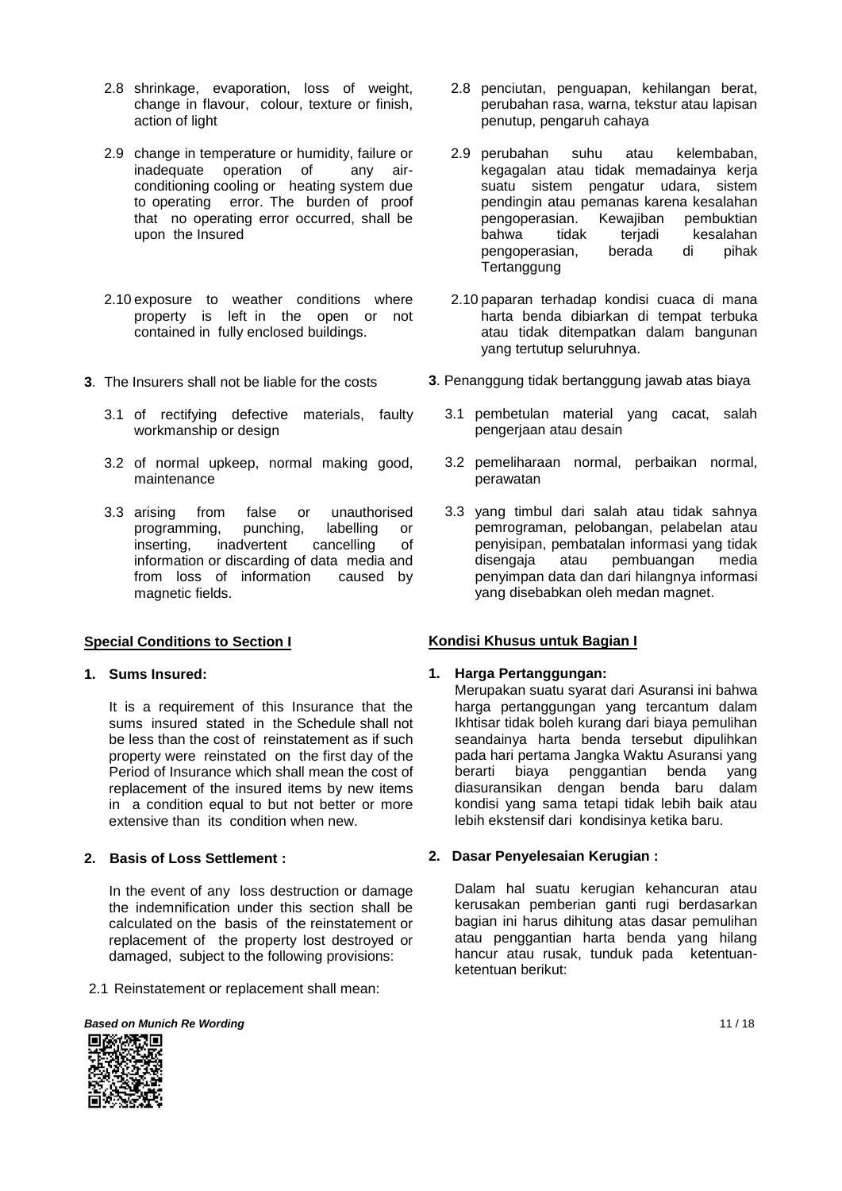- 2.8 shrinkage, evaporation, loss of weight, change in flavour, colour, texture or finish, action of light
- 2.9 change in temperature or humidity, failure or inadequate operation of any airconditioning cooling or heating system due to operating error. The burden of proof that no operating error occurred, shall be upon the Insured
- 2.10 exposure to weather conditions where property is left in the open or not contained in fully enclosed buildings.
- **3**. The Insurers shall not be liable for the costs
	- 3.1 of rectifying defective materials, faulty workmanship or design
	- 3.2 of normal upkeep, normal making good, maintenance
	- 3.3 arising from false or unauthorised programming, punching, labelling or inserting, inadvertent cancelling of information or discarding of data media and from loss of information caused by magnetic fields.

## **Special Conditions to Section I**

#### **1. Sums Insured:**

It is a requirement of this Insurance that the sums insured stated in the Schedule shall not be less than the cost of reinstatement as if such property were reinstated on the first day of the Period of Insurance which shall mean the cost of replacement of the insured items by new items in a condition equal to but not better or more extensive than its condition when new.

#### **2. Basis of Loss Settlement :**

In the event of any loss destruction or damage the indemnification under this section shall be calculated on the basis of the reinstatement or replacement of the property lost destroyed or damaged, subject to the following provisions:

2.1 Reinstatement or replacement shall mean:



- 2.8 penciutan, penguapan, kehilangan berat, perubahan rasa, warna, tekstur atau lapisan penutup, pengaruh cahaya
- 2.9 perubahan suhu atau kelembaban, kegagalan atau tidak memadainya kerja suatu sistem pengatur udara, sistem pendingin atau pemanas karena kesalahan pengoperasian. Kewajiban pembuktian bahwa tidak terjadi kesalahan pengoperasian, berada di pihak **Tertanggung**
- 2.10 paparan terhadap kondisi cuaca di mana harta benda dibiarkan di tempat terbuka atau tidak ditempatkan dalam bangunan yang tertutup seluruhnya.
- **3**. Penanggung tidak bertanggung jawab atas biaya
	- 3.1 pembetulan material yang cacat, salah pengerjaan atau desain
	- 3.2 pemeliharaan normal, perbaikan normal, perawatan
	- 3.3 yang timbul dari salah atau tidak sahnya pemrograman, pelobangan, pelabelan atau penyisipan, pembatalan informasi yang tidak disengaja atau pembuangan media penyimpan data dan dari hilangnya informasi yang disebabkan oleh medan magnet.

## **Kondisi Khusus untuk Bagian I**

#### **1. Harga Pertanggungan:**

Merupakan suatu syarat dari Asuransi ini bahwa harga pertanggungan yang tercantum dalam Ikhtisar tidak boleh kurang dari biaya pemulihan seandainya harta benda tersebut dipulihkan pada hari pertama Jangka Waktu Asuransi yang berarti biaya penggantian benda yang diasuransikan dengan benda baru dalam kondisi yang sama tetapi tidak lebih baik atau lebih ekstensif dari kondisinya ketika baru.

#### **2. Dasar Penyelesaian Kerugian :**

Dalam hal suatu kerugian kehancuran atau kerusakan pemberian ganti rugi berdasarkan bagian ini harus dihitung atas dasar pemulihan atau penggantian harta benda yang hilang hancur atau rusak, tunduk pada ketentuanketentuan berikut:

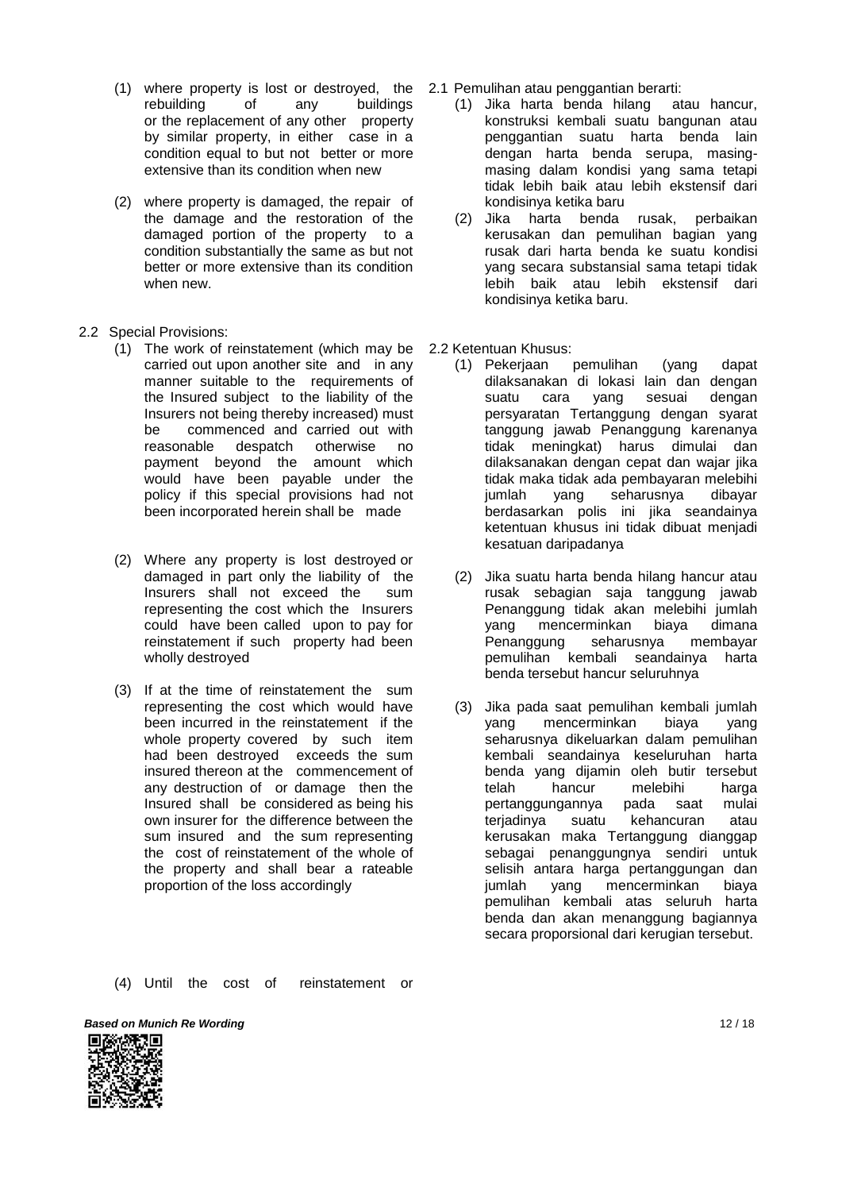- (1) where property is lost or destroyed, the 2.1 Pemulihan atau penggantian berarti: rebuilding of any buildings or the replacement of any other property by similar property, in either case in a condition equal to but not better or more extensive than its condition when new
- (2) where property is damaged, the repair of the damage and the restoration of the damaged portion of the property to a condition substantially the same as but not better or more extensive than its condition when new.
- 2.2 Special Provisions:
	- (1) The work of reinstatement (which may be carried out upon another site and in any manner suitable to the requirements of the Insured subject to the liability of the Insurers not being thereby increased) must be commenced and carried out with<br>reasonable despatch otherwise no reasonable despatch otherwise no payment beyond the amount which would have been payable under the policy if this special provisions had not been incorporated herein shall be made
	- (2) Where any property is lost destroyed or damaged in part only the liability of the Insurers shall not exceed the sum representing the cost which the Insurers could have been called upon to pay for reinstatement if such property had been wholly destroyed
	- (3) If at the time of reinstatement the sum representing the cost which would have been incurred in the reinstatement if the whole property covered by such item had been destroyed exceeds the sum insured thereon at the commencement of any destruction of or damage then the Insured shall be considered as being his own insurer for the difference between the sum insured and the sum representing the cost of reinstatement of the whole of the property and shall bear a rateable proportion of the loss accordingly
	- (4) Until the cost of reinstatement or
- - (1) Jika harta benda hilang atau hancur, konstruksi kembali suatu bangunan atau penggantian suatu harta benda lain dengan harta benda serupa, masingmasing dalam kondisi yang sama tetapi tidak lebih baik atau lebih ekstensif dari kondisinya ketika baru
	- (2) Jika harta benda rusak, perbaikan kerusakan dan pemulihan bagian yang rusak dari harta benda ke suatu kondisi yang secara substansial sama tetapi tidak lebih baik atau lebih ekstensif dari kondisinya ketika baru.
- 
- 2.2 Ketentuan Khusus:<br>(1) Pekerjaan pemulihan (1) Pekerjaan pemulihan (yang dapat dilaksanakan di lokasi lain dan dengan<br>suatu cara vang sesuai dengan suatu cara yang sesuai dengan persyaratan Tertanggung dengan syarat tanggung jawab Penanggung karenanya tidak meningkat) harus dimulai dan dilaksanakan dengan cepat dan wajar jika tidak maka tidak ada pembayaran melebihi jumlah yang seharusnya dibayar berdasarkan polis ini jika seandainya ketentuan khusus ini tidak dibuat menjadi kesatuan daripadanya
	- (2) Jika suatu harta benda hilang hancur atau rusak sebagian saja tanggung jawab Penanggung tidak akan melebihi jumlah yang mencerminkan biaya dimana Penanggung seharusnya membayar pemulihan kembali seandainya harta benda tersebut hancur seluruhnya
	- (3) Jika pada saat pemulihan kembali jumlah yang mencerminkan biaya yang seharusnya dikeluarkan dalam pemulihan kembali seandainya keseluruhan harta benda yang dijamin oleh butir tersebut telah hancur melebihi harga pertanggungannya pada saat mulai terjadinya suatu kehancuran atau kerusakan maka Tertanggung dianggap sebagai penanggungnya sendiri untuk selisih antara harga pertanggungan dan jumlah yang mencerminkan biaya pemulihan kembali atas seluruh harta benda dan akan menanggung bagiannya secara proporsional dari kerugian tersebut.

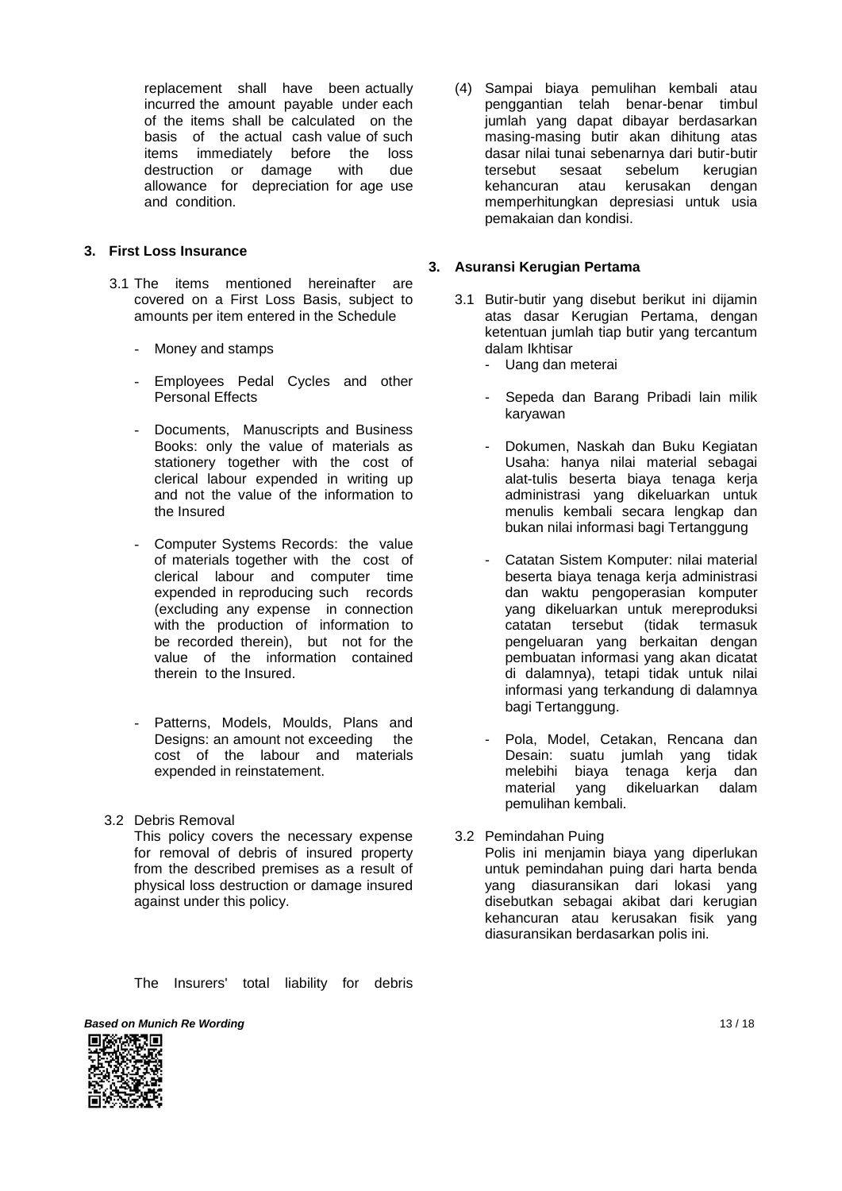replacement shall have been actually incurred the amount payable under each of the items shall be calculated on the basis of the actual cash value of such items immediately before the loss destruction or damage with due allowance for depreciation for age use and condition.

## **3. First Loss Insurance**

- 3.1 The items mentioned hereinafter are covered on a First Loss Basis, subject to amounts per item entered in the Schedule
	- Money and stamps
	- Employees Pedal Cycles and other Personal Effects
	- Documents, Manuscripts and Business Books: only the value of materials as stationery together with the cost of clerical labour expended in writing up and not the value of the information to the Insured
	- Computer Systems Records: the value of materials together with the cost of clerical labour and computer time expended in reproducing such records (excluding any expense in connection with the production of information to be recorded therein), but not for the value of the information contained therein to the Insured.
	- Patterns, Models, Moulds, Plans and Designs: an amount not exceeding the cost of the labour and materials expended in reinstatement.
- 3.2 Debris Removal This policy covers the necessary expense for removal of debris of insured property from the described premises as a result of physical loss destruction or damage insured against under this policy.
	- The Insurers' total liability for debris
- **Based on Munich Re Wording 13 / 18**



(4) Sampai biaya pemulihan kembali atau penggantian telah benar-benar timbul jumlah yang dapat dibayar berdasarkan masing-masing butir akan dihitung atas dasar nilai tunai sebenarnya dari butir-butir tersebut sesaat sebelum kerugian kehancuran atau kerusakan dengan memperhitungkan depresiasi untuk usia pemakaian dan kondisi.

## **3. Asuransi Kerugian Pertama**

- 3.1 Butir-butir yang disebut berikut ini dijamin atas dasar Kerugian Pertama, dengan ketentuan jumlah tiap butir yang tercantum dalam Ikhtisar
	- Uang dan meterai
	- Sepeda dan Barang Pribadi lain milik karyawan
	- Dokumen, Naskah dan Buku Kegiatan Usaha: hanya nilai material sebagai alat-tulis beserta biaya tenaga kerja administrasi yang dikeluarkan untuk menulis kembali secara lengkap dan bukan nilai informasi bagi Tertanggung
	- Catatan Sistem Komputer: nilai material beserta biaya tenaga kerja administrasi dan waktu pengoperasian komputer yang dikeluarkan untuk mereproduksi catatan tersebut (tidak termasuk pengeluaran yang berkaitan dengan pembuatan informasi yang akan dicatat di dalamnya), tetapi tidak untuk nilai informasi yang terkandung di dalamnya bagi Tertanggung.
	- Pola, Model, Cetakan, Rencana dan Desain: suatu jumlah yang tidak melebihi biaya tenaga kerja dan<br>material vang dikeluarkan dalam yang dikeluarkan dalam pemulihan kembali.
- 3.2 Pemindahan Puing Polis ini menjamin biaya yang diperlukan untuk pemindahan puing dari harta benda yang diasuransikan dari lokasi yang disebutkan sebagai akibat dari kerugian kehancuran atau kerusakan fisik yang diasuransikan berdasarkan polis ini.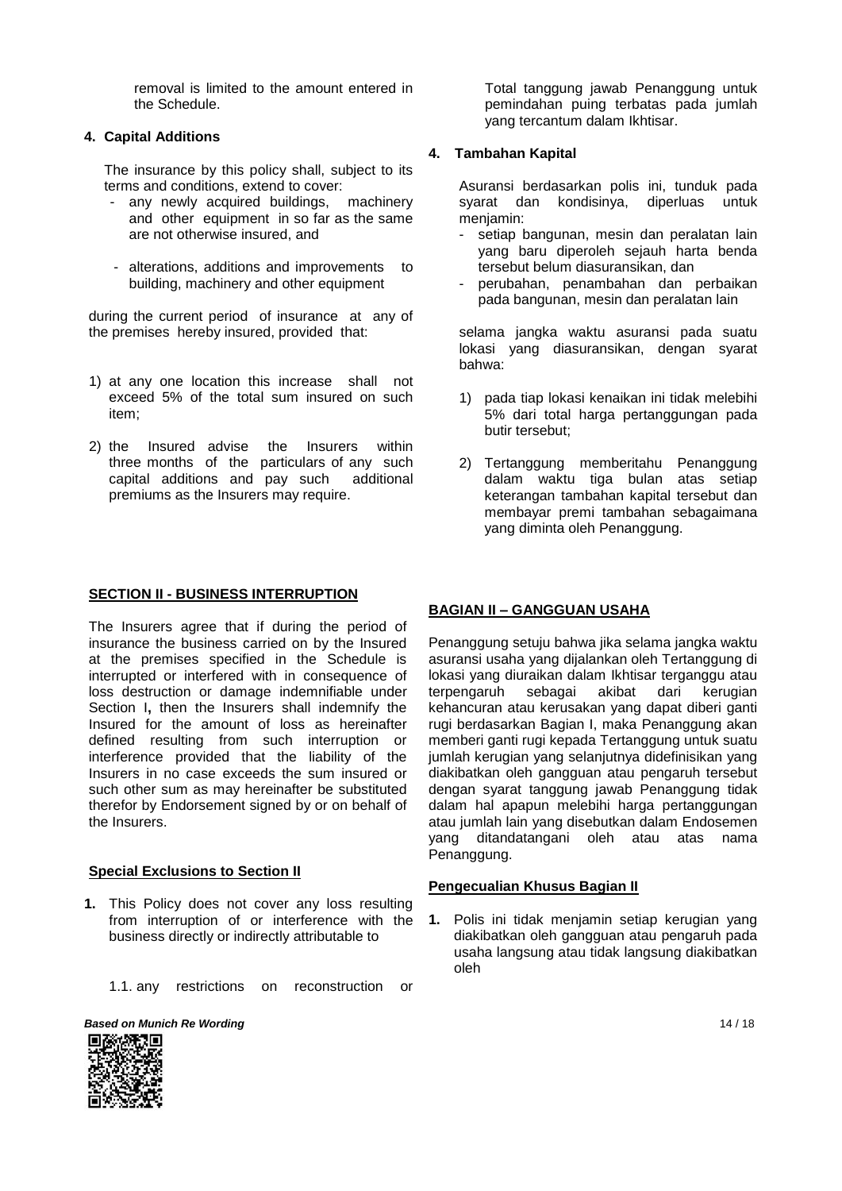removal is limited to the amount entered in the Schedule.

#### **4. Capital Additions**

The insurance by this policy shall, subject to its terms and conditions, extend to cover:

- any newly acquired buildings, machinery and other equipment in so far as the same are not otherwise insured, and
- alterations, additions and improvements to building, machinery and other equipment

during the current period of insurance at any of the premises hereby insured, provided that:

- 1) at any one location this increase shall not exceed 5% of the total sum insured on such item;
- 2) the Insured advise the Insurers within three months of the particulars of any such capital additions and pay such additional premiums as the Insurers may require.

Total tanggung jawab Penanggung untuk pemindahan puing terbatas pada jumlah yang tercantum dalam Ikhtisar.

## **4. Tambahan Kapital**

Asuransi berdasarkan polis ini, tunduk pada syarat dan kondisinya, diperluas untuk menjamin:

- setiap bangunan, mesin dan peralatan lain yang baru diperoleh sejauh harta benda tersebut belum diasuransikan, dan
- perubahan, penambahan dan perbaikan pada bangunan, mesin dan peralatan lain

selama jangka waktu asuransi pada suatu lokasi yang diasuransikan, dengan syarat bahwa:

- 1) pada tiap lokasi kenaikan ini tidak melebihi 5% dari total harga pertanggungan pada butir tersebut;
- 2) Tertanggung memberitahu Penanggung dalam waktu tiga bulan atas setiap keterangan tambahan kapital tersebut dan membayar premi tambahan sebagaimana yang diminta oleh Penanggung.

#### **SECTION II - BUSINESS INTERRUPTION**

The Insurers agree that if during the period of insurance the business carried on by the Insured at the premises specified in the Schedule is interrupted or interfered with in consequence of loss destruction or damage indemnifiable under Section I**,** then the Insurers shall indemnify the Insured for the amount of loss as hereinafter defined resulting from such interruption or interference provided that the liability of the Insurers in no case exceeds the sum insured or such other sum as may hereinafter be substituted therefor by Endorsement signed by or on behalf of the Insurers.

#### **Special Exclusions to Section II**

- **1.** This Policy does not cover any loss resulting from interruption of or interference with the business directly or indirectly attributable to
	- 1.1. any restrictions on reconstruction or



# **BAGIAN II – GANGGUAN USAHA**

Penanggung setuju bahwa jika selama jangka waktu asuransi usaha yang dijalankan oleh Tertanggung di lokasi yang diuraikan dalam Ikhtisar terganggu atau terpengaruh sebagai akibat dari kerugian kehancuran atau kerusakan yang dapat diberi ganti rugi berdasarkan Bagian I, maka Penanggung akan memberi ganti rugi kepada Tertanggung untuk suatu jumlah kerugian yang selanjutnya didefinisikan yang diakibatkan oleh gangguan atau pengaruh tersebut dengan syarat tanggung jawab Penanggung tidak dalam hal apapun melebihi harga pertanggungan atau jumlah lain yang disebutkan dalam Endosemen yang ditandatangani oleh atau atas nama Penanggung.

#### **Pengecualian Khusus Bagian II**

**1.** Polis ini tidak menjamin setiap kerugian yang diakibatkan oleh gangguan atau pengaruh pada usaha langsung atau tidak langsung diakibatkan oleh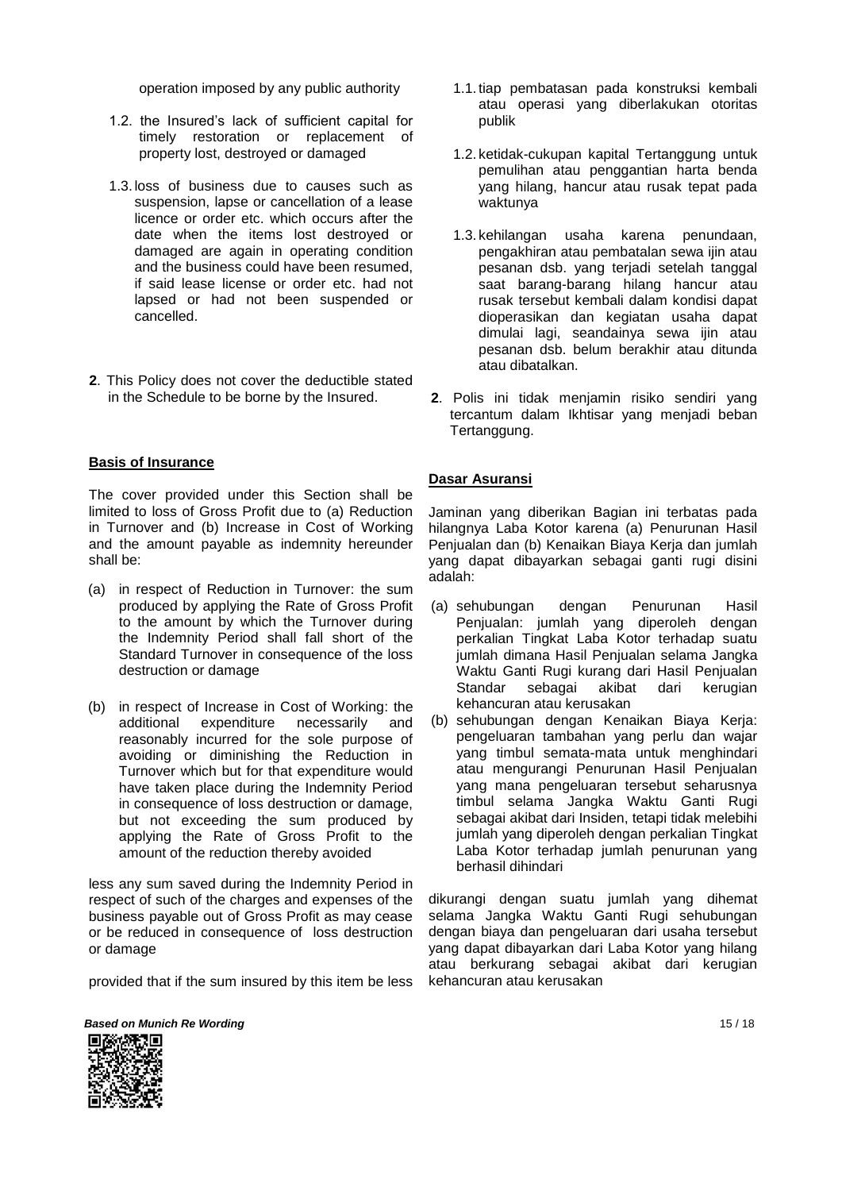operation imposed by any public authority

- 1.2. the Insured's lack of sufficient capital for timely restoration or replacement of property lost, destroyed or damaged
- 1.3. loss of business due to causes such as suspension, lapse or cancellation of a lease licence or order etc. which occurs after the date when the items lost destroyed or damaged are again in operating condition and the business could have been resumed, if said lease license or order etc. had not lapsed or had not been suspended or cancelled.
- **2**. This Policy does not cover the deductible stated in the Schedule to be borne by the Insured.

#### **Basis of Insurance**

The cover provided under this Section shall be limited to loss of Gross Profit due to (a) Reduction in Turnover and (b) Increase in Cost of Working and the amount payable as indemnity hereunder shall be:

- (a) in respect of Reduction in Turnover: the sum produced by applying the Rate of Gross Profit to the amount by which the Turnover during the Indemnity Period shall fall short of the Standard Turnover in consequence of the loss destruction or damage
- (b) in respect of Increase in Cost of Working: the additional expenditure necessarily and reasonably incurred for the sole purpose of avoiding or diminishing the Reduction in Turnover which but for that expenditure would have taken place during the Indemnity Period in consequence of loss destruction or damage, but not exceeding the sum produced by applying the Rate of Gross Profit to the amount of the reduction thereby avoided

less any sum saved during the Indemnity Period in respect of such of the charges and expenses of the business payable out of Gross Profit as may cease or be reduced in consequence of loss destruction or damage

provided that if the sum insured by this item be less

- 1.1. tiap pembatasan pada konstruksi kembali atau operasi yang diberlakukan otoritas publik
- 1.2. ketidak-cukupan kapital Tertanggung untuk pemulihan atau penggantian harta benda yang hilang, hancur atau rusak tepat pada waktunya
- 1.3. kehilangan usaha karena penundaan, pengakhiran atau pembatalan sewa ijin atau pesanan dsb. yang terjadi setelah tanggal saat barang-barang hilang hancur atau rusak tersebut kembali dalam kondisi dapat dioperasikan dan kegiatan usaha dapat dimulai lagi, seandainya sewa ijin atau pesanan dsb. belum berakhir atau ditunda atau dibatalkan.
- **2**. Polis ini tidak menjamin risiko sendiri yang tercantum dalam Ikhtisar yang menjadi beban Tertanggung.

#### **Dasar Asuransi**

Jaminan yang diberikan Bagian ini terbatas pada hilangnya Laba Kotor karena (a) Penurunan Hasil Penjualan dan (b) Kenaikan Biaya Kerja dan jumlah yang dapat dibayarkan sebagai ganti rugi disini adalah:

- (a) sehubungan dengan Penurunan Hasil Penjualan: jumlah yang diperoleh dengan perkalian Tingkat Laba Kotor terhadap suatu jumlah dimana Hasil Penjualan selama Jangka Waktu Ganti Rugi kurang dari Hasil Penjualan Standar sebagai akibat dari kerugian kehancuran atau kerusakan
- (b) sehubungan dengan Kenaikan Biaya Kerja: pengeluaran tambahan yang perlu dan wajar yang timbul semata-mata untuk menghindari atau mengurangi Penurunan Hasil Penjualan yang mana pengeluaran tersebut seharusnya timbul selama Jangka Waktu Ganti Rugi sebagai akibat dari Insiden, tetapi tidak melebihi jumlah yang diperoleh dengan perkalian Tingkat Laba Kotor terhadap jumlah penurunan yang berhasil dihindari

dikurangi dengan suatu jumlah yang dihemat selama Jangka Waktu Ganti Rugi sehubungan dengan biaya dan pengeluaran dari usaha tersebut yang dapat dibayarkan dari Laba Kotor yang hilang atau berkurang sebagai akibat dari kerugian kehancuran atau kerusakan

**Based on Munich Re Wording 15 / 18 and 15 / 18 and 15 / 18 and 15 / 18 and 15 / 18 and 15 / 18 and 15 / 18 and 15 / 18 and 15 / 18 and 15 / 18 and 15 / 18 and 15 / 18 and 15 / 18 and 15 / 18 and 19 and 19 and 19 and 19 an** 

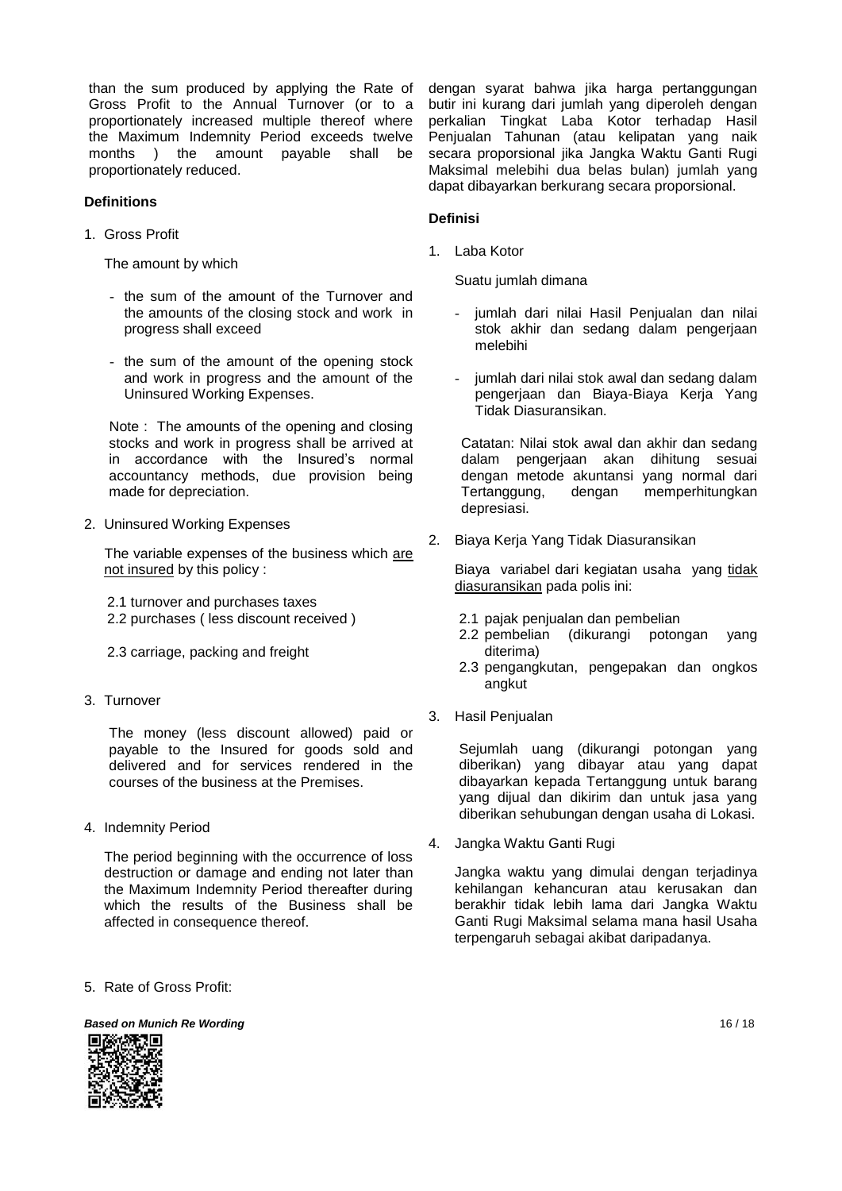than the sum produced by applying the Rate of Gross Profit to the Annual Turnover (or to a proportionately increased multiple thereof where the Maximum Indemnity Period exceeds twelve months ) the amount payable shall be proportionately reduced.

#### **Definitions**

1. Gross Profit

The amount by which

- the sum of the amount of the Turnover and the amounts of the closing stock and work in progress shall exceed
- the sum of the amount of the opening stock and work in progress and the amount of the Uninsured Working Expenses.

Note : The amounts of the opening and closing stocks and work in progress shall be arrived at in accordance with the Insured's normal accountancy methods, due provision being made for depreciation.

2. Uninsured Working Expenses

The variable expenses of the business which are not insured by this policy :

2.1 turnover and purchases taxes 2.2 purchases ( less discount received )

- 2.3 carriage, packing and freight
- 3. Turnover

The money (less discount allowed) paid or payable to the Insured for goods sold and delivered and for services rendered in the courses of the business at the Premises.

4. Indemnity Period

The period beginning with the occurrence of loss destruction or damage and ending not later than the Maximum Indemnity Period thereafter during which the results of the Business shall be affected in consequence thereof.

5. Rate of Gross Profit:

dengan syarat bahwa jika harga pertanggungan butir ini kurang dari jumlah yang diperoleh dengan perkalian Tingkat Laba Kotor terhadap Hasil Penjualan Tahunan (atau kelipatan yang naik secara proporsional jika Jangka Waktu Ganti Rugi Maksimal melebihi dua belas bulan) jumlah yang dapat dibayarkan berkurang secara proporsional.

#### **Definisi**

1. Laba Kotor

Suatu jumlah dimana

- jumlah dari nilai Hasil Penjualan dan nilai stok akhir dan sedang dalam pengerjaan melebihi
- jumlah dari nilai stok awal dan sedang dalam pengerjaan dan Biaya-Biaya Kerja Yang Tidak Diasuransikan.

Catatan: Nilai stok awal dan akhir dan sedang dalam pengerjaan akan dihitung sesuai dengan metode akuntansi yang normal dari Tertanggung, dengan memperhitungkan depresiasi.

2. Biaya Kerja Yang Tidak Diasuransikan

Biaya variabel dari kegiatan usaha yang tidak diasuransikan pada polis ini:

- 2.1 pajak penjualan dan pembelian
- 2.2 pembelian (dikurangi potongan yang diterima)
- 2.3 pengangkutan, pengepakan dan ongkos angkut
- 3. Hasil Penjualan

Sejumlah uang (dikurangi potongan yang diberikan) yang dibayar atau yang dapat dibayarkan kepada Tertanggung untuk barang yang dijual dan dikirim dan untuk jasa yang diberikan sehubungan dengan usaha di Lokasi.

4. Jangka Waktu Ganti Rugi

Jangka waktu yang dimulai dengan terjadinya kehilangan kehancuran atau kerusakan dan berakhir tidak lebih lama dari Jangka Waktu Ganti Rugi Maksimal selama mana hasil Usaha terpengaruh sebagai akibat daripadanya.



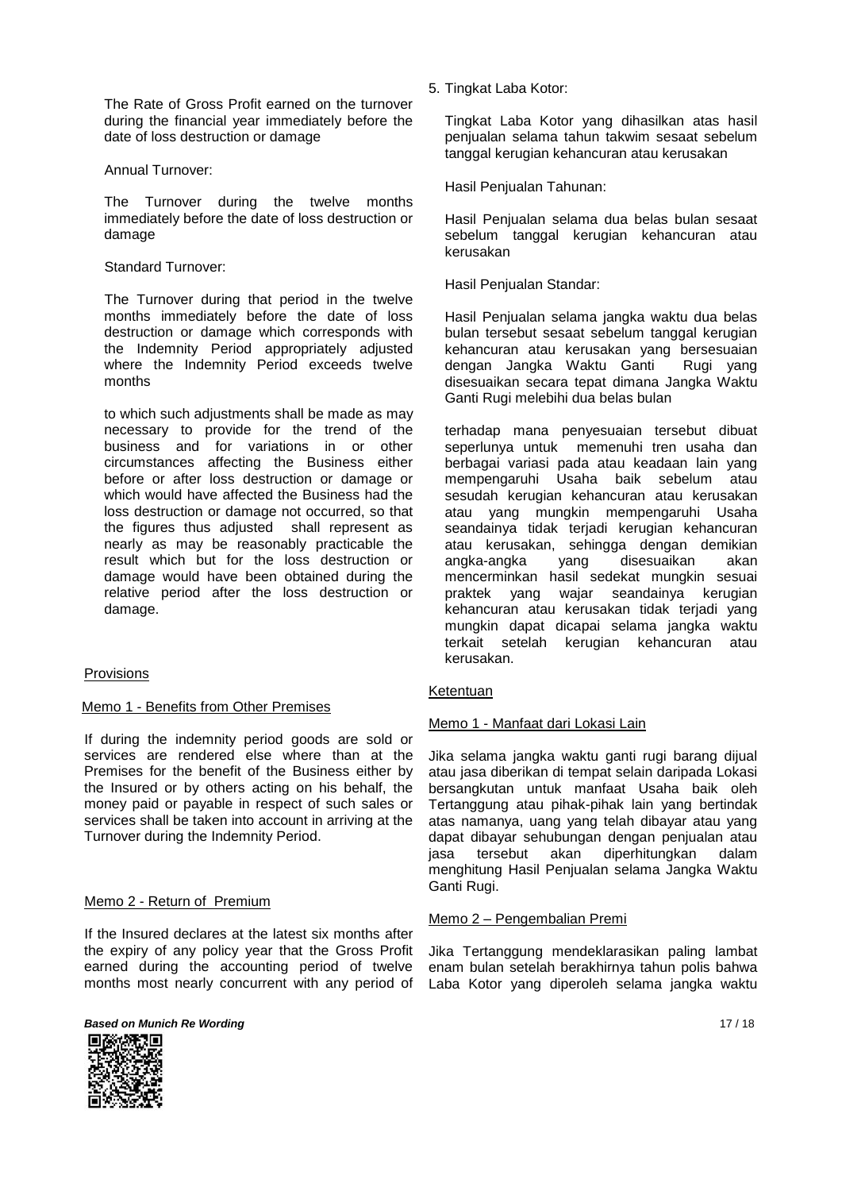The Rate of Gross Profit earned on the turnover during the financial year immediately before the date of loss destruction or damage

#### Annual Turnover:

The Turnover during the twelve months immediately before the date of loss destruction or damage

#### Standard Turnover:

The Turnover during that period in the twelve months immediately before the date of loss destruction or damage which corresponds with the Indemnity Period appropriately adjusted where the Indemnity Period exceeds twelve months

to which such adjustments shall be made as may necessary to provide for the trend of the business and for variations in or other circumstances affecting the Business either before or after loss destruction or damage or which would have affected the Business had the loss destruction or damage not occurred, so that the figures thus adjusted shall represent as nearly as may be reasonably practicable the result which but for the loss destruction or damage would have been obtained during the relative period after the loss destruction or damage.

## Provisions

## Memo 1 - Benefits from Other Premises

If during the indemnity period goods are sold or services are rendered else where than at the Premises for the benefit of the Business either by the Insured or by others acting on his behalf, the money paid or payable in respect of such sales or services shall be taken into account in arriving at the Turnover during the Indemnity Period.

## Memo 2 - Return of Premium

If the Insured declares at the latest six months after the expiry of any policy year that the Gross Profit earned during the accounting period of twelve months most nearly concurrent with any period of





5. Tingkat Laba Kotor:

Tingkat Laba Kotor yang dihasilkan atas hasil penjualan selama tahun takwim sesaat sebelum tanggal kerugian kehancuran atau kerusakan

Hasil Penjualan Tahunan:

Hasil Penjualan selama dua belas bulan sesaat sebelum tanggal kerugian kehancuran atau kerusakan

Hasil Penjualan Standar:

Hasil Penjualan selama jangka waktu dua belas bulan tersebut sesaat sebelum tanggal kerugian kehancuran atau kerusakan yang bersesuaian dengan Jangka Waktu Ganti Rugi yang disesuaikan secara tepat dimana Jangka Waktu Ganti Rugi melebihi dua belas bulan

terhadap mana penyesuaian tersebut dibuat seperlunya untuk memenuhi tren usaha dan berbagai variasi pada atau keadaan lain yang mempengaruhi Usaha baik sebelum atau sesudah kerugian kehancuran atau kerusakan atau yang mungkin mempengaruhi Usaha seandainya tidak terjadi kerugian kehancuran atau kerusakan, sehingga dengan demikian angka-angka yang disesuaikan akan mencerminkan hasil sedekat mungkin sesuai praktek yang wajar seandainya kerugian kehancuran atau kerusakan tidak terjadi yang mungkin dapat dicapai selama jangka waktu terkait setelah kerugian kehancuran atau kerusakan.

## Ketentuan

## Memo 1 - Manfaat dari Lokasi Lain

Jika selama jangka waktu ganti rugi barang dijual atau jasa diberikan di tempat selain daripada Lokasi bersangkutan untuk manfaat Usaha baik oleh Tertanggung atau pihak-pihak lain yang bertindak atas namanya, uang yang telah dibayar atau yang dapat dibayar sehubungan dengan penjualan atau jasa tersebut akan diperhitungkan dalam menghitung Hasil Penjualan selama Jangka Waktu Ganti Rugi.

## Memo 2 – Pengembalian Premi

Jika Tertanggung mendeklarasikan paling lambat enam bulan setelah berakhirnya tahun polis bahwa Laba Kotor yang diperoleh selama jangka waktu